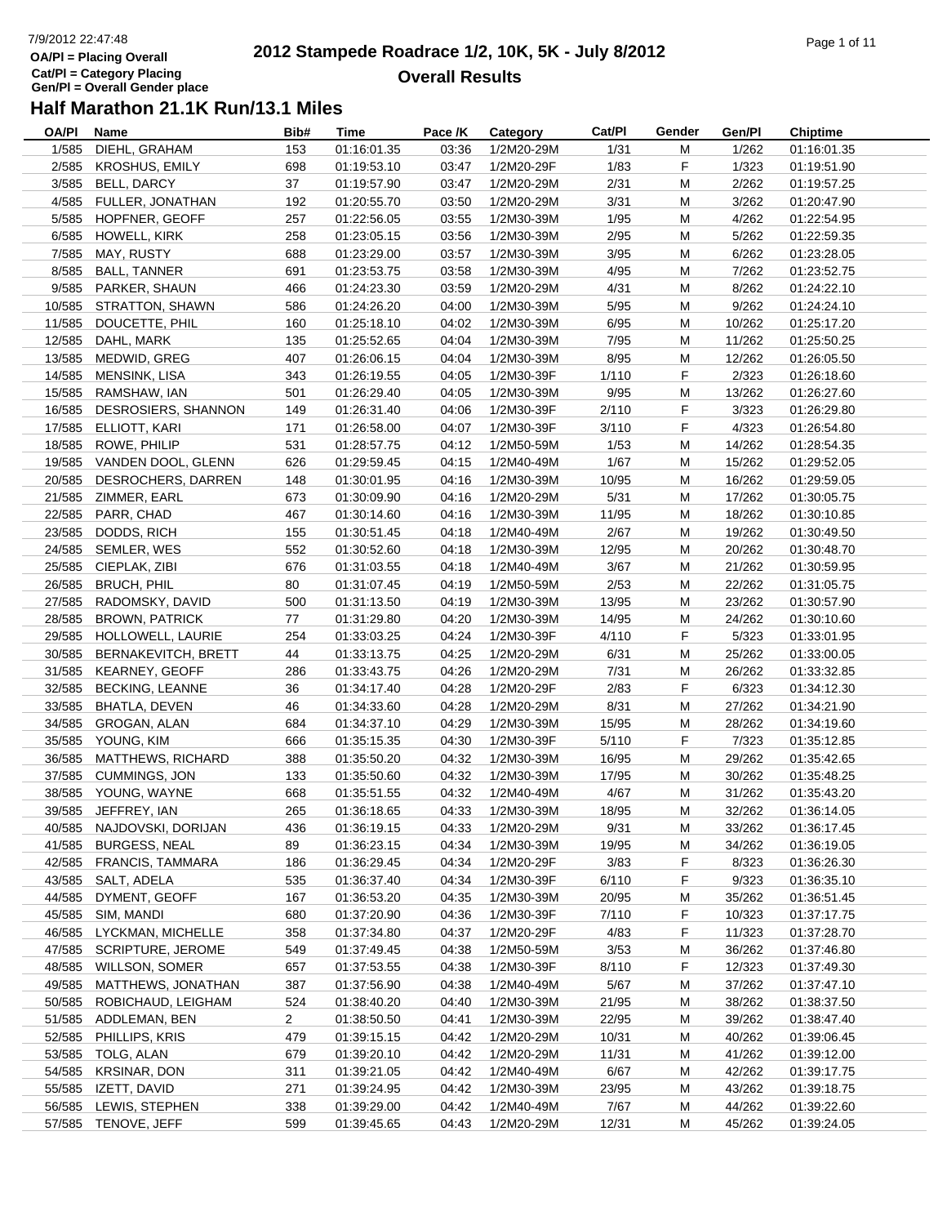## 7/9/2012 22:47:48**OA/Pl = Placing OverallCat/Pl = Category Placing Gen/Pl = Overall Gender place**

#### **2012 Stampede Roadrace 1/2, 10K, 5K - July 8/2012**  $P$ age 1 of 11 **Overall Results**

| OA/PI  | Name                       | Bib#           | Time        | Pace /K | Category   | Cat/PI | Gender | Gen/Pl | <b>Chiptime</b> |
|--------|----------------------------|----------------|-------------|---------|------------|--------|--------|--------|-----------------|
| 1/585  | DIEHL, GRAHAM              | 153            | 01:16:01.35 | 03:36   | 1/2M20-29M | 1/31   | M      | 1/262  | 01:16:01.35     |
| 2/585  | KROSHUS, EMILY             | 698            | 01:19:53.10 | 03:47   | 1/2M20-29F | 1/83   | F      | 1/323  | 01:19:51.90     |
| 3/585  | BELL, DARCY                | 37             | 01:19:57.90 | 03:47   | 1/2M20-29M | 2/31   | M      | 2/262  | 01:19:57.25     |
|        | 4/585 FULLER, JONATHAN     | 192            | 01:20:55.70 | 03:50   | 1/2M20-29M | 3/31   | М      | 3/262  | 01:20:47.90     |
| 5/585  | HOPFNER, GEOFF             | 257            | 01:22:56.05 | 03:55   | 1/2M30-39M | 1/95   | M      | 4/262  | 01:22:54.95     |
|        | 6/585 HOWELL, KIRK         | 258            | 01:23:05.15 | 03:56   | 1/2M30-39M | 2/95   | M      | 5/262  | 01:22:59.35     |
| 7/585  | MAY, RUSTY                 | 688            | 01:23:29.00 | 03:57   | 1/2M30-39M | 3/95   | M      | 6/262  | 01:23:28.05     |
| 8/585  | BALL, TANNER               | 691            | 01:23:53.75 | 03:58   | 1/2M30-39M | 4/95   | M      | 7/262  | 01:23:52.75     |
|        | 9/585 PARKER, SHAUN        | 466            | 01:24:23.30 | 03:59   | 1/2M20-29M | 4/31   | M      | 8/262  | 01:24:22.10     |
|        | 10/585 STRATTON, SHAWN     | 586            | 01:24:26.20 | 04:00   | 1/2M30-39M | $5/95$ | M      | 9/262  | 01:24:24.10     |
| 11/585 | DOUCETTE, PHIL             | 160            | 01:25:18.10 | 04:02   | 1/2M30-39M | 6/95   | М      | 10/262 | 01:25:17.20     |
|        | 12/585 DAHL, MARK          | 135            | 01:25:52.65 | 04:04   | 1/2M30-39M | 7/95   | М      | 11/262 | 01:25:50.25     |
|        | 13/585 MEDWID, GREG        | 407            | 01:26:06.15 | 04:04   | 1/2M30-39M | 8/95   | М      | 12/262 | 01:26:05.50     |
|        | 14/585 MENSINK, LISA       | 343            | 01:26:19.55 | 04:05   | 1/2M30-39F | 1/110  | F      | 2/323  | 01:26:18.60     |
|        | 15/585 RAMSHAW, IAN        | 501            | 01:26:29.40 | 04:05   | 1/2M30-39M | 9/95   | M      | 13/262 | 01:26:27.60     |
|        | 16/585 DESROSIERS, SHANNON | 149            | 01:26:31.40 | 04:06   | 1/2M30-39F | 2/110  | F      | 3/323  | 01:26:29.80     |
|        | 17/585 ELLIOTT, KARI       | 171            | 01:26:58.00 | 04:07   | 1/2M30-39F | 3/110  | F      | 4/323  | 01:26:54.80     |
|        | 18/585 ROWE, PHILIP        | 531            | 01:28:57.75 | 04:12   | 1/2M50-59M | 1/53   | M      | 14/262 | 01:28:54.35     |
|        | 19/585 VANDEN DOOL, GLENN  | 626            | 01:29:59.45 | 04:15   | 1/2M40-49M | 1/67   | М      | 15/262 | 01:29:52.05     |
|        | 20/585 DESROCHERS, DARREN  | 148            | 01:30:01.95 | 04:16   | 1/2M30-39M | 10/95  | М      | 16/262 | 01:29:59.05     |
|        | 21/585 ZIMMER, EARL        | 673            | 01:30:09.90 | 04:16   | 1/2M20-29M | 5/31   | М      | 17/262 | 01:30:05.75     |
|        |                            |                | 01:30:14.60 |         |            |        |        |        |                 |
|        | 22/585 PARR, CHAD          | 467            |             | 04:16   | 1/2M30-39M | 11/95  | М      | 18/262 | 01:30:10.85     |
|        | 23/585 DODDS, RICH         | 155            | 01:30:51.45 | 04:18   | 1/2M40-49M | 2/67   | M      | 19/262 | 01:30:49.50     |
|        | 24/585 SEMLER, WES         | 552            | 01:30:52.60 | 04:18   | 1/2M30-39M | 12/95  | M      | 20/262 | 01:30:48.70     |
|        | 25/585 CIEPLAK, ZIBI       | 676            | 01:31:03.55 | 04:18   | 1/2M40-49M | 3/67   | M      | 21/262 | 01:30:59.95     |
|        | 26/585 BRUCH, PHIL         | 80             | 01:31:07.45 | 04:19   | 1/2M50-59M | 2/53   | М      | 22/262 | 01:31:05.75     |
|        | 27/585 RADOMSKY, DAVID     | 500            | 01:31:13.50 | 04:19   | 1/2M30-39M | 13/95  | М      | 23/262 | 01:30:57.90     |
|        | 28/585 BROWN, PATRICK      | 77             | 01:31:29.80 | 04:20   | 1/2M30-39M | 14/95  | М      | 24/262 | 01:30:10.60     |
|        | 29/585 HOLLOWELL, LAURIE   | 254            | 01:33:03.25 | 04:24   | 1/2M30-39F | 4/110  | F      | 5/323  | 01:33:01.95     |
|        | 30/585 BERNAKEVITCH, BRETT | 44             | 01:33:13.75 | 04:25   | 1/2M20-29M | 6/31   | М      | 25/262 | 01:33:00.05     |
|        | 31/585 KEARNEY, GEOFF      | 286            | 01:33:43.75 | 04:26   | 1/2M20-29M | 7/31   | M      | 26/262 | 01:33:32.85     |
|        | 32/585 BECKING, LEANNE     | 36             | 01:34:17.40 | 04:28   | 1/2M20-29F | 2/83   | F      | 6/323  | 01:34:12.30     |
| 33/585 | BHATLA, DEVEN              | 46             | 01:34:33.60 | 04:28   | 1/2M20-29M | 8/31   | M      | 27/262 | 01:34:21.90     |
|        | 34/585 GROGAN, ALAN        | 684            | 01:34:37.10 | 04:29   | 1/2M30-39M | 15/95  | M      | 28/262 | 01:34:19.60     |
|        | 35/585 YOUNG, KIM          | 666            | 01:35:15.35 | 04:30   | 1/2M30-39F | 5/110  | F      | 7/323  | 01:35:12.85     |
|        | 36/585 MATTHEWS, RICHARD   | 388            | 01:35:50.20 | 04:32   | 1/2M30-39M | 16/95  | М      | 29/262 | 01:35:42.65     |
|        | 37/585 CUMMINGS, JON       | 133            | 01:35:50.60 | 04:32   | 1/2M30-39M | 17/95  | М      | 30/262 | 01:35:48.25     |
|        | 38/585 YOUNG, WAYNE        | 668            | 01:35:51.55 | 04:32   | 1/2M40-49M | 4/67   | M      | 31/262 | 01:35:43.20     |
|        | 39/585 JEFFREY, IAN        | 265            | 01:36:18.65 | 04:33   | 1/2M30-39M | 18/95  | М      | 32/262 | 01:36:14.05     |
|        | 40/585 NAJDOVSKI, DORIJAN  | 436            | 01:36:19.15 | 04:33   | 1/2M20-29M | 9/31   | M      | 33/262 | 01:36:17.45     |
|        | 41/585 BURGESS, NEAL       | 89             | 01:36:23.15 | 04:34   | 1/2M30-39M | 19/95  | M      | 34/262 | 01:36:19.05     |
|        | 42/585 FRANCIS, TAMMARA    | 186            | 01:36:29.45 | 04:34   | 1/2M20-29F | 3/83   | F      | 8/323  | 01:36:26.30     |
|        | 43/585 SALT, ADELA         | 535            | 01:36:37.40 | 04:34   | 1/2M30-39F | 6/110  | F.     | 9/323  | 01:36:35.10     |
|        | 44/585 DYMENT, GEOFF       | 167            | 01:36:53.20 | 04:35   | 1/2M30-39M | 20/95  | M      | 35/262 | 01:36:51.45     |
|        | 45/585 SIM, MANDI          | 680            | 01:37:20.90 | 04:36   | 1/2M30-39F | 7/110  | F      | 10/323 | 01:37:17.75     |
|        | 46/585 LYCKMAN, MICHELLE   | 358            | 01:37:34.80 | 04:37   | 1/2M20-29F | 4/83   | F.     | 11/323 | 01:37:28.70     |
| 47/585 | <b>SCRIPTURE, JEROME</b>   | 549            | 01:37:49.45 | 04:38   | 1/2M50-59M | 3/53   | M      | 36/262 | 01:37:46.80     |
| 48/585 | <b>WILLSON, SOMER</b>      | 657            | 01:37:53.55 | 04:38   | 1/2M30-39F | 8/110  | F      | 12/323 | 01:37:49.30     |
| 49/585 | MATTHEWS, JONATHAN         | 387            | 01:37:56.90 | 04:38   | 1/2M40-49M | 5/67   | M      | 37/262 | 01:37:47.10     |
|        | 50/585 ROBICHAUD, LEIGHAM  | 524            | 01:38:40.20 | 04:40   | 1/2M30-39M | 21/95  | M      | 38/262 | 01:38:37.50     |
|        | 51/585 ADDLEMAN, BEN       | $\overline{2}$ | 01:38:50.50 | 04:41   | 1/2M30-39M | 22/95  | M      | 39/262 | 01:38:47.40     |
|        | 52/585 PHILLIPS, KRIS      | 479            | 01:39:15.15 | 04:42   | 1/2M20-29M | 10/31  | М      | 40/262 | 01:39:06.45     |
|        | 53/585 TOLG, ALAN          | 679            | 01:39:20.10 | 04:42   | 1/2M20-29M | 11/31  | М      | 41/262 | 01:39:12.00     |
|        | 54/585 KRSINAR, DON        | 311            | 01:39:21.05 | 04:42   | 1/2M40-49M | 6/67   | M      | 42/262 | 01:39:17.75     |
| 55/585 | IZETT, DAVID               | 271            | 01:39:24.95 | 04:42   | 1/2M30-39M | 23/95  | M      | 43/262 | 01:39:18.75     |
| 56/585 | LEWIS, STEPHEN             | 338            | 01:39:29.00 | 04:42   | 1/2M40-49M | 7/67   | M      | 44/262 | 01:39:22.60     |
|        |                            | 599            |             | 04:43   |            |        | M      | 45/262 |                 |
|        | 57/585 TENOVE, JEFF        |                | 01:39:45.65 |         | 1/2M20-29M | 12/31  |        |        | 01:39:24.05     |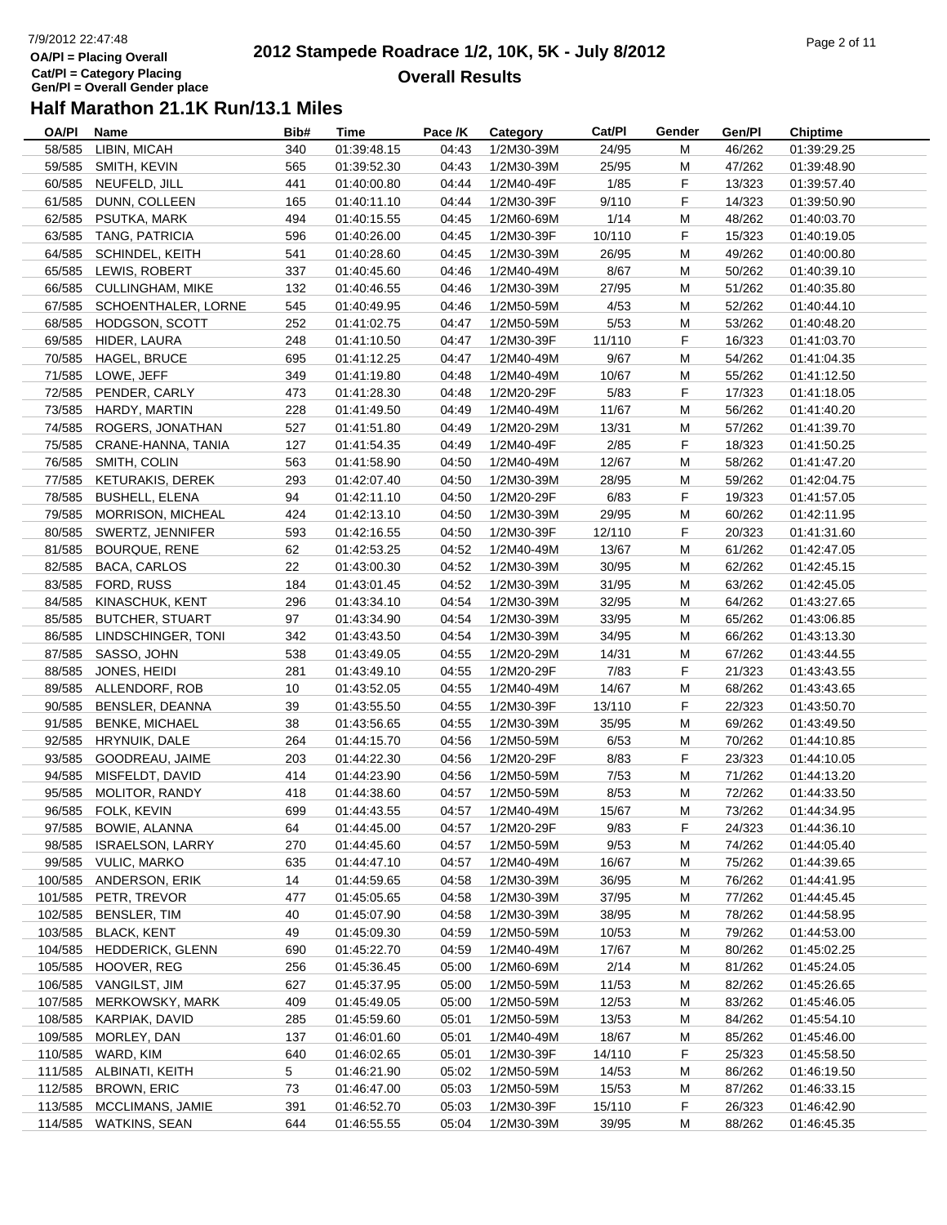# 7/9/2012 22:47:48**OA/Pl = Placing OverallCat/Pl = Category Placing Gen/Pl = Overall Gender place**

#### **2012 Stampede Roadrace 1/2, 10K, 5K - July 8/2012**  $P$ age 2 of 11 **Overall Results**

| OA/PI   | Name                       | Bib#           | Time        | Pace /K | Category   | Cat/PI | Gender | Gen/Pl | <b>Chiptime</b> |
|---------|----------------------------|----------------|-------------|---------|------------|--------|--------|--------|-----------------|
|         | 58/585 LIBIN, MICAH        | 340            | 01:39:48.15 | 04:43   | 1/2M30-39M | 24/95  | М      | 46/262 | 01:39:29.25     |
|         | 59/585 SMITH, KEVIN        | 565            | 01:39:52.30 | 04:43   | 1/2M30-39M | 25/95  | М      | 47/262 | 01:39:48.90     |
|         | 60/585 NEUFELD, JILL       | 441            | 01:40:00.80 | 04:44   | 1/2M40-49F | 1/85   | F      | 13/323 | 01:39:57.40     |
| 61/585  | DUNN, COLLEEN              | 165            | 01:40:11.10 | 04:44   | 1/2M30-39F | 9/110  | F      | 14/323 | 01:39:50.90     |
|         | 62/585 PSUTKA, MARK        | 494            | 01:40:15.55 | 04:45   | 1/2M60-69M | 1/14   | M      | 48/262 | 01:40:03.70     |
| 63/585  | TANG, PATRICIA             | 596            | 01:40:26.00 | 04:45   | 1/2M30-39F | 10/110 | F      | 15/323 | 01:40:19.05     |
| 64/585  | SCHINDEL, KEITH            | 541            | 01:40:28.60 | 04:45   | 1/2M30-39M | 26/95  | M      | 49/262 | 01:40:00.80     |
| 65/585  | LEWIS, ROBERT              | 337            | 01:40:45.60 | 04:46   | 1/2M40-49M | 8/67   | M      | 50/262 | 01:40:39.10     |
|         | 66/585 CULLINGHAM, MIKE    | 132            | 01:40:46.55 | 04:46   | 1/2M30-39M | 27/95  | M      | 51/262 | 01:40:35.80     |
|         | 67/585 SCHOENTHALER, LORNE | 545            | 01:40:49.95 | 04:46   | 1/2M50-59M | 4/53   | M      | 52/262 | 01:40:44.10     |
|         | 68/585 HODGSON, SCOTT      | 252            | 01:41:02.75 | 04:47   | 1/2M50-59M | 5/53   | M      | 53/262 | 01:40:48.20     |
|         | 69/585 HIDER, LAURA        | 248            | 01:41:10.50 | 04:47   | 1/2M30-39F | 11/110 | F.     | 16/323 | 01:41:03.70     |
|         | 70/585 HAGEL, BRUCE        | 695            | 01:41:12.25 | 04:47   | 1/2M40-49M | 9/67   | M      | 54/262 | 01:41:04.35     |
|         | 71/585 LOWE, JEFF          | 349            | 01:41:19.80 | 04:48   | 1/2M40-49M | 10/67  | M      | 55/262 | 01:41:12.50     |
|         | 72/585 PENDER, CARLY       | 473            | 01:41:28.30 | 04:48   | 1/2M20-29F | 5/83   | F.     | 17/323 | 01:41:18.05     |
|         | 73/585 HARDY, MARTIN       | 228            | 01:41:49.50 | 04:49   | 1/2M40-49M | 11/67  | M      | 56/262 | 01:41:40.20     |
|         | 74/585 ROGERS, JONATHAN    | 527            | 01:41:51.80 | 04:49   | 1/2M20-29M | 13/31  | M      | 57/262 | 01:41:39.70     |
|         | 75/585 CRANE-HANNA, TANIA  | 127            | 01:41:54.35 | 04:49   | 1/2M40-49F | 2/85   | F.     | 18/323 | 01:41:50.25     |
|         | 76/585 SMITH, COLIN        | 563            |             | 04:50   | 1/2M40-49M | 12/67  | M      | 58/262 |                 |
|         | 77/585 KETURAKIS, DEREK    |                | 01:41:58.90 |         |            |        |        |        | 01:41:47.20     |
|         |                            | 293            | 01:42:07.40 | 04:50   | 1/2M30-39M | 28/95  | M      | 59/262 | 01:42:04.75     |
|         | 78/585 BUSHELL, ELENA      | 94             | 01:42:11.10 | 04:50   | 1/2M20-29F | 6/83   | F      | 19/323 | 01:41:57.05     |
|         | 79/585 MORRISON, MICHEAL   | 424            | 01:42:13.10 | 04:50   | 1/2M30-39M | 29/95  | M      | 60/262 | 01:42:11.95     |
|         | 80/585 SWERTZ, JENNIFER    | 593            | 01:42:16.55 | 04:50   | 1/2M30-39F | 12/110 | F      | 20/323 | 01:41:31.60     |
|         | 81/585 BOURQUE, RENE       | 62             | 01:42:53.25 | 04:52   | 1/2M40-49M | 13/67  | M      | 61/262 | 01:42:47.05     |
|         | 82/585 BACA, CARLOS        | 22             | 01:43:00.30 | 04:52   | 1/2M30-39M | 30/95  | M      | 62/262 | 01:42:45.15     |
|         | 83/585 FORD, RUSS          | 184            | 01:43:01.45 | 04:52   | 1/2M30-39M | 31/95  | М      | 63/262 | 01:42:45.05     |
|         | 84/585 KINASCHUK, KENT     | 296            | 01:43:34.10 | 04:54   | 1/2M30-39M | 32/95  | М      | 64/262 | 01:43:27.65     |
|         | 85/585 BUTCHER, STUART     | 97             | 01:43:34.90 | 04:54   | 1/2M30-39M | 33/95  | М      | 65/262 | 01:43:06.85     |
|         | 86/585 LINDSCHINGER, TONI  | 342            | 01:43:43.50 | 04:54   | 1/2M30-39M | 34/95  | М      | 66/262 | 01:43:13.30     |
|         | 87/585 SASSO, JOHN         | 538            | 01:43:49.05 | 04:55   | 1/2M20-29M | 14/31  | M      | 67/262 | 01:43:44.55     |
|         | 88/585 JONES, HEIDI        | 281            | 01:43:49.10 | 04:55   | 1/2M20-29F | 7/83   | F.     | 21/323 | 01:43:43.55     |
|         | 89/585 ALLENDORF, ROB      | 10             | 01:43:52.05 | 04:55   | 1/2M40-49M | 14/67  | M      | 68/262 | 01:43:43.65     |
|         | 90/585 BENSLER, DEANNA     | 39             | 01:43:55.50 | 04:55   | 1/2M30-39F | 13/110 | F      | 22/323 | 01:43:50.70     |
|         | 91/585 BENKE, MICHAEL      | 38             | 01:43:56.65 | 04:55   | 1/2M30-39M | 35/95  | M      | 69/262 | 01:43:49.50     |
|         | 92/585 HRYNUIK, DALE       | 264            | 01:44:15.70 | 04:56   | 1/2M50-59M | 6/53   | M      | 70/262 | 01:44:10.85     |
|         | 93/585 GOODREAU, JAIME     | 203            | 01:44:22.30 | 04:56   | 1/2M20-29F | 8/83   | F.     | 23/323 | 01:44:10.05     |
|         | 94/585 MISFELDT, DAVID     | 414            | 01:44:23.90 | 04:56   | 1/2M50-59M | 7/53   | М      | 71/262 | 01:44:13.20     |
| 95/585  | MOLITOR, RANDY             | 418            | 01:44:38.60 | 04:57   | 1/2M50-59M | 8/53   | M      | 72/262 | 01:44:33.50     |
|         | 96/585 FOLK, KEVIN         | 699            | 01:44:43.55 | 04:57   | 1/2M40-49M | 15/67  | М      | 73/262 | 01:44:34.95     |
|         | 97/585 BOWIE, ALANNA       | 64             | 01:44:45.00 | 04:57   | 1/2M20-29F | 9/83   | F.     | 24/323 | 01:44:36.10     |
| 98/585  | <b>ISRAELSON, LARRY</b>    | 270            | 01:44:45.60 | 04:57   | 1/2M50-59M | 9/53   | M      | 74/262 | 01:44:05.40     |
|         | 99/585 VULIC, MARKO        | 635            | 01:44:47.10 | 04:57   | 1/2M40-49M | 16/67  | M      | 75/262 | 01:44:39.65     |
|         | 100/585 ANDERSON, ERIK     | 14             | 01:44:59.65 | 04:58   | 1/2M30-39M | 36/95  | M      | 76/262 | 01:44:41.95     |
|         | 101/585 PETR, TREVOR       | 477            | 01:45:05.65 | 04:58   | 1/2M30-39M | 37/95  | М      | 77/262 | 01:44:45.45     |
| 102/585 | BENSLER, TIM               | 40             | 01:45:07.90 | 04:58   | 1/2M30-39M | 38/95  | М      | 78/262 | 01:44:58.95     |
| 103/585 | <b>BLACK, KENT</b>         | 49             | 01:45:09.30 | 04:59   | 1/2M50-59M | 10/53  | M      | 79/262 | 01:44:53.00     |
|         | 104/585 HEDDERICK, GLENN   | 690            | 01:45:22.70 | 04:59   | 1/2M40-49M | 17/67  | M      | 80/262 | 01:45:02.25     |
|         | 105/585 HOOVER, REG        | 256            | 01:45:36.45 | 05:00   | 1/2M60-69M | 2/14   | M      | 81/262 | 01:45:24.05     |
|         | 106/585 VANGILST, JIM      | 627            | 01:45:37.95 | 05:00   | 1/2M50-59M | 11/53  | M      | 82/262 | 01:45:26.65     |
|         | 107/585 MERKOWSKY, MARK    | 409            | 01:45:49.05 | 05:00   | 1/2M50-59M | 12/53  | M      | 83/262 | 01:45:46.05     |
|         | 108/585 KARPIAK, DAVID     | 285            | 01:45:59.60 | 05:01   | 1/2M50-59M | 13/53  | M      | 84/262 | 01:45:54.10     |
|         | 109/585 MORLEY, DAN        | 137            | 01:46:01.60 | 05:01   | 1/2M40-49M | 18/67  | М      | 85/262 | 01:45:46.00     |
|         | 110/585 WARD, KIM          | 640            | 01:46:02.65 | 05:01   | 1/2M30-39F | 14/110 | F.     | 25/323 | 01:45:58.50     |
|         |                            |                |             |         |            |        |        |        |                 |
|         | 111/585 ALBINATI, KEITH    | 5 <sub>2</sub> | 01:46:21.90 | 05:02   | 1/2M50-59M | 14/53  | M      | 86/262 | 01:46:19.50     |
| 112/585 | <b>BROWN, ERIC</b>         | 73             | 01:46:47.00 | 05:03   | 1/2M50-59M | 15/53  | M      | 87/262 | 01:46:33.15     |
| 113/585 | MCCLIMANS, JAMIE           | 391            | 01:46:52.70 | 05:03   | 1/2M30-39F | 15/110 | F      | 26/323 | 01:46:42.90     |
|         | 114/585 WATKINS, SEAN      | 644            | 01:46:55.55 | 05:04   | 1/2M30-39M | 39/95  | M      | 88/262 | 01:46:45.35     |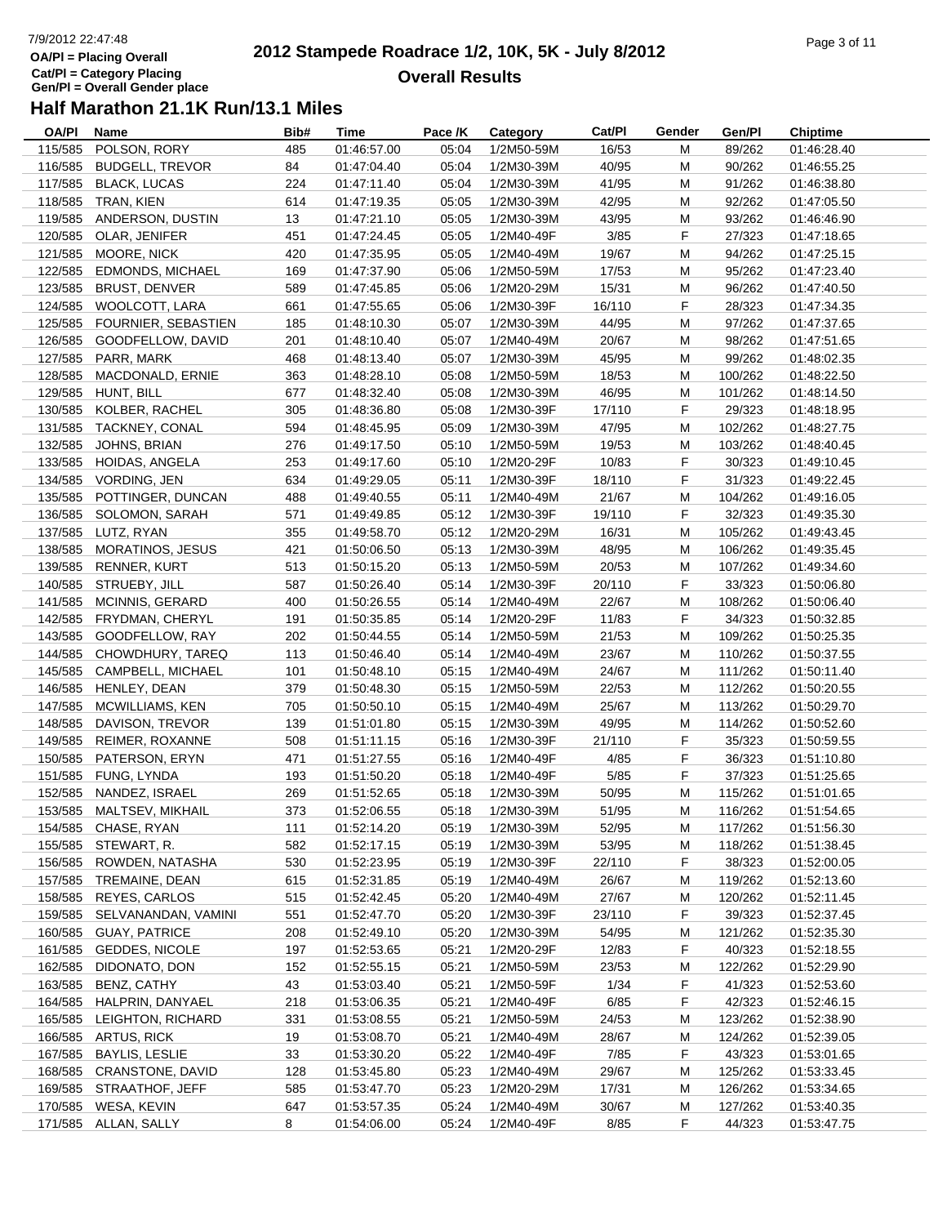# 7/9/2012 22:47:48**OA/Pl = Placing OverallCat/Pl = Category Placing Gen/Pl = Overall Gender place**

#### **2012 Stampede Roadrace 1/2, 10K, 5K - July 8/2012**  $P$ age 3 of 11 **Overall Results**

| OA/PI   | Name                     | Bib#           | Time        | Pace /K | Category   | Cat/Pl | Gender | Gen/Pl  | <b>Chiptime</b> |
|---------|--------------------------|----------------|-------------|---------|------------|--------|--------|---------|-----------------|
| 115/585 | POLSON, RORY             | 485            | 01:46:57.00 | 05:04   | 1/2M50-59M | 16/53  | M      | 89/262  | 01:46:28.40     |
| 116/585 | <b>BUDGELL, TREVOR</b>   | 84             | 01:47:04.40 | 05:04   | 1/2M30-39M | 40/95  | M      | 90/262  | 01:46:55.25     |
| 117/585 | <b>BLACK, LUCAS</b>      | 224            | 01:47:11.40 | 05:04   | 1/2M30-39M | 41/95  | M      | 91/262  | 01:46:38.80     |
| 118/585 | TRAN, KIEN               | 614            | 01:47:19.35 | 05:05   | 1/2M30-39M | 42/95  | М      | 92/262  | 01:47:05.50     |
| 119/585 | ANDERSON, DUSTIN         | 13             | 01:47:21.10 | 05:05   | 1/2M30-39M | 43/95  | M      | 93/262  | 01:46:46.90     |
| 120/585 | OLAR, JENIFER            | 451            | 01:47:24.45 | 05:05   | 1/2M40-49F | 3/85   | F      | 27/323  | 01:47:18.65     |
| 121/585 | MOORE, NICK              | 420            | 01:47:35.95 | 05:05   | 1/2M40-49M | 19/67  | M      | 94/262  | 01:47:25.15     |
| 122/585 | EDMONDS, MICHAEL         | 169            | 01:47:37.90 | 05:06   | 1/2M50-59M | 17/53  | M      | 95/262  | 01:47:23.40     |
| 123/585 | <b>BRUST, DENVER</b>     | 589            | 01:47:45.85 | 05:06   | 1/2M20-29M | 15/31  | M      | 96/262  | 01:47:40.50     |
| 124/585 | WOOLCOTT, LARA           | 661            | 01:47:55.65 | 05:06   | 1/2M30-39F | 16/110 | F      | 28/323  | 01:47:34.35     |
| 125/585 | FOURNIER, SEBASTIEN      | 185            | 01:48:10.30 | 05:07   | 1/2M30-39M | 44/95  | M      | 97/262  | 01:47:37.65     |
| 126/585 | GOODFELLOW, DAVID        | 201            | 01:48:10.40 | 05:07   | 1/2M40-49M | 20/67  | М      | 98/262  | 01:47:51.65     |
| 127/585 | PARR, MARK               | 468            | 01:48:13.40 | 05:07   | 1/2M30-39M | 45/95  | м      | 99/262  | 01:48:02.35     |
| 128/585 | MACDONALD, ERNIE         | 363            | 01:48:28.10 | 05:08   | 1/2M50-59M | 18/53  | M      | 100/262 | 01:48:22.50     |
| 129/585 | HUNT, BILL               | 677            | 01:48:32.40 | 05:08   | 1/2M30-39M | 46/95  | M      | 101/262 | 01:48:14.50     |
|         | 130/585 KOLBER, RACHEL   | 305            | 01:48:36.80 | 05:08   | 1/2M30-39F | 17/110 | F      | 29/323  | 01:48:18.95     |
| 131/585 | TACKNEY, CONAL           | 594            | 01:48:45.95 | 05:09   | 1/2M30-39M | 47/95  | M      | 102/262 | 01:48:27.75     |
| 132/585 | JOHNS, BRIAN             | 276            | 01:49:17.50 | 05:10   | 1/2M50-59M | 19/53  | M      | 103/262 | 01:48:40.45     |
| 133/585 | HOIDAS, ANGELA           | 253            | 01:49:17.60 | 05:10   | 1/2M20-29F | 10/83  | F.     | 30/323  | 01:49:10.45     |
|         | 134/585 VORDING, JEN     | 634            | 01:49:29.05 | 05:11   | 1/2M30-39F | 18/110 | F      | 31/323  | 01:49:22.45     |
| 135/585 | POTTINGER, DUNCAN        | 488            | 01:49:40.55 | 05:11   | 1/2M40-49M | 21/67  | M      | 104/262 | 01:49:16.05     |
|         |                          |                |             |         |            |        | F      |         |                 |
| 136/585 | SOLOMON, SARAH           | 571            | 01:49:49.85 | 05:12   | 1/2M30-39F | 19/110 |        | 32/323  | 01:49:35.30     |
|         | 137/585 LUTZ, RYAN       | 355            | 01:49:58.70 | 05:12   | 1/2M20-29M | 16/31  | M      | 105/262 | 01:49:43.45     |
|         | 138/585 MORATINOS, JESUS | 421            | 01:50:06.50 | 05:13   | 1/2M30-39M | 48/95  | M      | 106/262 | 01:49:35.45     |
| 139/585 | <b>RENNER, KURT</b>      | 513            | 01:50:15.20 | 05:13   | 1/2M50-59M | 20/53  | M      | 107/262 | 01:49:34.60     |
|         | 140/585 STRUEBY, JILL    | 587            | 01:50:26.40 | 05:14   | 1/2M30-39F | 20/110 | F      | 33/323  | 01:50:06.80     |
| 141/585 | MCINNIS, GERARD          | 400            | 01:50:26.55 | 05:14   | 1/2M40-49M | 22/67  | M      | 108/262 | 01:50:06.40     |
| 142/585 | FRYDMAN, CHERYL          | 191            | 01:50:35.85 | 05:14   | 1/2M20-29F | 11/83  | F      | 34/323  | 01:50:32.85     |
| 143/585 | GOODFELLOW, RAY          | 202            | 01:50:44.55 | 05:14   | 1/2M50-59M | 21/53  | M      | 109/262 | 01:50:25.35     |
| 144/585 | CHOWDHURY, TAREQ         | 113            | 01:50:46.40 | 05:14   | 1/2M40-49M | 23/67  | M      | 110/262 | 01:50:37.55     |
| 145/585 | CAMPBELL, MICHAEL        | 101            | 01:50:48.10 | 05:15   | 1/2M40-49M | 24/67  | M      | 111/262 | 01:50:11.40     |
| 146/585 | HENLEY, DEAN             | 379            | 01:50:48.30 | 05:15   | 1/2M50-59M | 22/53  | M      | 112/262 | 01:50:20.55     |
| 147/585 | <b>MCWILLIAMS, KEN</b>   | 705            | 01:50:50.10 | 05:15   | 1/2M40-49M | 25/67  | M      | 113/262 | 01:50:29.70     |
| 148/585 | DAVISON, TREVOR          | 139            | 01:51:01.80 | 05:15   | 1/2M30-39M | 49/95  | M      | 114/262 | 01:50:52.60     |
| 149/585 | REIMER, ROXANNE          | 508            | 01:51:11.15 | 05:16   | 1/2M30-39F | 21/110 | F.     | 35/323  | 01:50:59.55     |
| 150/585 | PATERSON, ERYN           | 471            | 01:51:27.55 | 05:16   | 1/2M40-49F | 4/85   | F.     | 36/323  | 01:51:10.80     |
| 151/585 | FUNG, LYNDA              | 193            | 01:51:50.20 | 05:18   | 1/2M40-49F | 5/85   | F      | 37/323  | 01:51:25.65     |
| 152/585 | NANDEZ, ISRAEL           | 269            | 01:51:52.65 | 05:18   | 1/2M30-39M | 50/95  | M      | 115/262 | 01:51:01.65     |
| 153/585 | MALTSEV, MIKHAIL         | 373            | 01:52:06.55 | 05:18   | 1/2M30-39M | 51/95  | M      | 116/262 | 01:51:54.65     |
|         | 154/585 CHASE, RYAN      | 111            | 01:52:14.20 | 05:19   | 1/2M30-39M | 52/95  | M      | 117/262 | 01:51:56.30     |
| 155/585 | STEWART, R.              | 582            | 01:52:17.15 | 05:19   | 1/2M30-39M | 53/95  | M      | 118/262 | 01:51:38.45     |
| 156/585 | ROWDEN, NATASHA          | 530            | 01:52:23.95 | 05:19   | 1/2M30-39F | 22/110 | F      | 38/323  | 01:52:00.05     |
| 157/585 | TREMAINE, DEAN           | 615            | 01:52:31.85 | 05:19   | 1/2M40-49M | 26/67  | M      | 119/262 | 01:52:13.60     |
| 158/585 | REYES, CARLOS            | 515            | 01:52:42.45 | 05:20   | 1/2M40-49M | 27/67  | М      | 120/262 | 01:52:11.45     |
| 159/585 | SELVANANDAN, VAMINI      | 551            | 01:52:47.70 | 05:20   | 1/2M30-39F | 23/110 | F      | 39/323  | 01:52:37.45     |
| 160/585 | <b>GUAY, PATRICE</b>     | 208            | 01:52:49.10 | 05:20   | 1/2M30-39M | 54/95  | M      | 121/262 | 01:52:35.30     |
| 161/585 | <b>GEDDES, NICOLE</b>    | 197            | 01:52:53.65 | 05:21   | 1/2M20-29F | 12/83  | F      | 40/323  | 01:52:18.55     |
| 162/585 | DIDONATO, DON            | 152            | 01:52:55.15 | 05:21   | 1/2M50-59M | 23/53  | M      | 122/262 | 01:52:29.90     |
| 163/585 | BENZ, CATHY              | 43             | 01:53:03.40 | 05:21   | 1/2M50-59F | 1/34   | F      | 41/323  | 01:52:53.60     |
| 164/585 | HALPRIN, DANYAEL         | 218            | 01:53:06.35 | 05:21   | 1/2M40-49F | 6/85   | F      | 42/323  | 01:52:46.15     |
| 165/585 | LEIGHTON, RICHARD        | 331            | 01:53:08.55 | 05:21   | 1/2M50-59M | 24/53  | M      | 123/262 | 01:52:38.90     |
| 166/585 | ARTUS, RICK              | 19             | 01:53:08.70 | 05:21   | 1/2M40-49M | 28/67  | М      | 124/262 | 01:52:39.05     |
| 167/585 | <b>BAYLIS, LESLIE</b>    | 33             | 01:53:30.20 | 05:22   | 1/2M40-49F | 7/85   | F      | 43/323  | 01:53:01.65     |
| 168/585 | CRANSTONE, DAVID         | 128            | 01:53:45.80 | 05:23   | 1/2M40-49M | 29/67  | M      | 125/262 | 01:53:33.45     |
| 169/585 | STRAATHOF, JEFF          | 585            | 01:53:47.70 | 05:23   | 1/2M20-29M | 17/31  | M      | 126/262 | 01:53:34.65     |
| 170/585 | WESA, KEVIN              | 647            | 01:53:57.35 | 05:24   | 1/2M40-49M | 30/67  | M      | 127/262 | 01:53:40.35     |
|         | 171/585 ALLAN, SALLY     | 8 <sub>o</sub> | 01:54:06.00 | 05:24   | 1/2M40-49F | 8/85   | F      | 44/323  | 01:53:47.75     |
|         |                          |                |             |         |            |        |        |         |                 |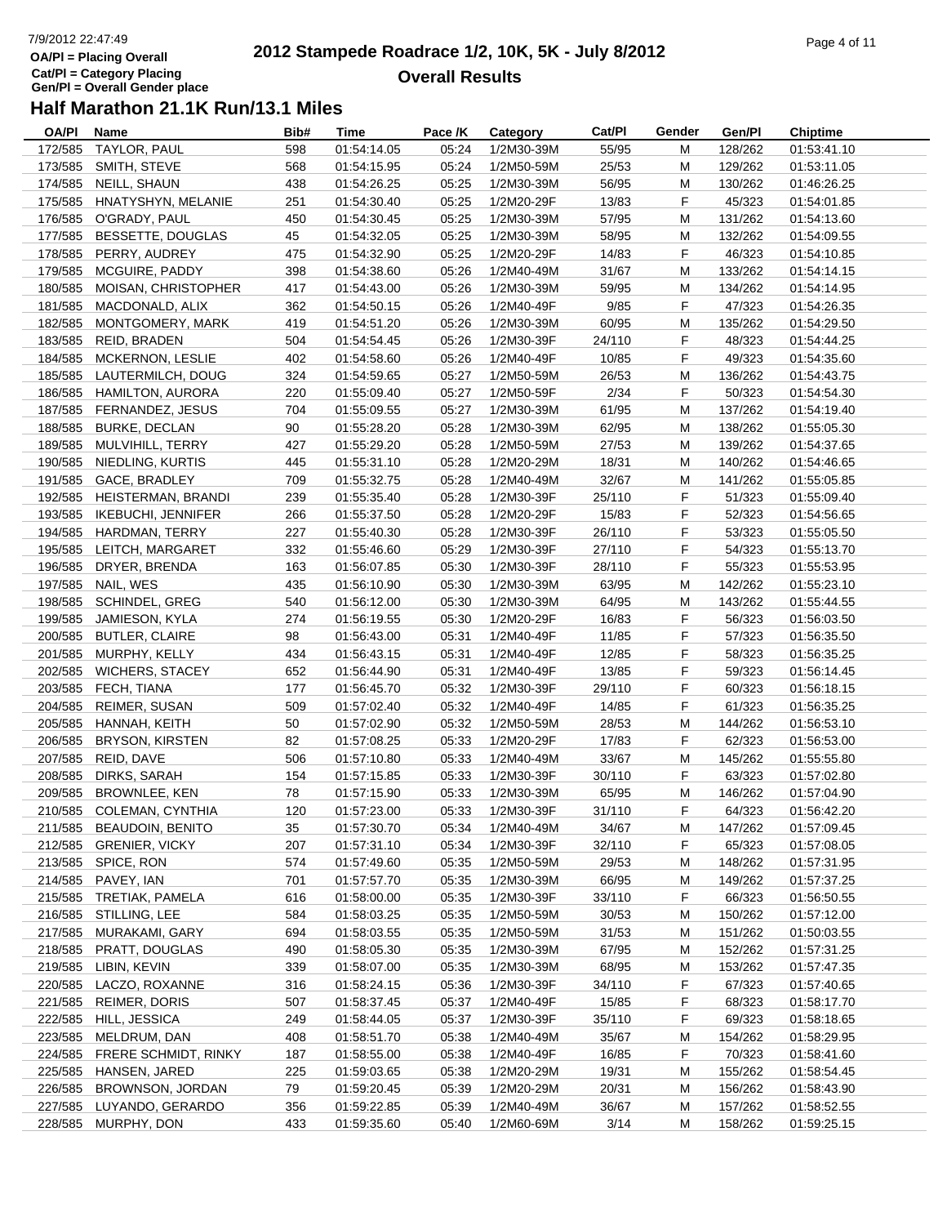# 7/9/2012 22:47:49**OA/Pl = Placing OverallCat/Pl = Category Placing Gen/Pl = Overall Gender place**

#### **2012 Stampede Roadrace 1/2, 10K, 5K - July 8/2012**  $P$ age 4 of 11 **Overall Results**

| OA/PI   | Name                      | Bib# | Time        | Pace /K | Category                 | Cat/PI | Gender | Gen/Pl  | <b>Chiptime</b>            |
|---------|---------------------------|------|-------------|---------|--------------------------|--------|--------|---------|----------------------------|
| 172/585 | TAYLOR, PAUL              | 598  | 01:54:14.05 | 05:24   | 1/2M30-39M               | 55/95  | M      | 128/262 | 01:53:41.10                |
| 173/585 | SMITH, STEVE              | 568  | 01:54:15.95 | 05:24   | 1/2M50-59M               | 25/53  | M      | 129/262 | 01:53:11.05                |
| 174/585 | NEILL, SHAUN              | 438  | 01:54:26.25 | 05:25   | 1/2M30-39M               | 56/95  | M      | 130/262 | 01:46:26.25                |
| 175/585 | HNATYSHYN, MELANIE        | 251  | 01:54:30.40 | 05:25   | 1/2M20-29F               | 13/83  | F      | 45/323  | 01:54:01.85                |
| 176/585 | O'GRADY, PAUL             | 450  | 01:54:30.45 | 05:25   | 1/2M30-39M               | 57/95  | M      | 131/262 | 01:54:13.60                |
| 177/585 | BESSETTE, DOUGLAS         | 45   | 01:54:32.05 | 05:25   | 1/2M30-39M               | 58/95  | M      | 132/262 | 01:54:09.55                |
| 178/585 | PERRY, AUDREY             | 475  | 01:54:32.90 | 05:25   | 1/2M20-29F               | 14/83  | F      | 46/323  | 01:54:10.85                |
| 179/585 | MCGUIRE, PADDY            | 398  | 01:54:38.60 | 05:26   | 1/2M40-49M               | 31/67  | M      | 133/262 | 01:54:14.15                |
| 180/585 | MOISAN, CHRISTOPHER       | 417  | 01:54:43.00 | 05:26   | 1/2M30-39M               | 59/95  | M      | 134/262 | 01:54:14.95                |
| 181/585 | MACDONALD, ALIX           | 362  | 01:54:50.15 | 05:26   | 1/2M40-49F               | 9/85   | F      | 47/323  | 01:54:26.35                |
| 182/585 | MONTGOMERY, MARK          | 419  | 01:54:51.20 | 05:26   | 1/2M30-39M               | 60/95  | M      | 135/262 | 01:54:29.50                |
| 183/585 | REID, BRADEN              | 504  | 01:54:54.45 | 05:26   | 1/2M30-39F               | 24/110 | F      | 48/323  | 01:54:44.25                |
| 184/585 | MCKERNON, LESLIE          | 402  | 01:54:58.60 | 05:26   | 1/2M40-49F               | 10/85  | F      | 49/323  | 01:54:35.60                |
| 185/585 | LAUTERMILCH, DOUG         | 324  | 01:54:59.65 | 05:27   | 1/2M50-59M               | 26/53  | M      | 136/262 | 01:54:43.75                |
| 186/585 | HAMILTON, AURORA          | 220  | 01:55:09.40 | 05:27   | 1/2M50-59F               | 2/34   | F      | 50/323  | 01:54:54.30                |
|         | 187/585 FERNANDEZ, JESUS  | 704  | 01:55:09.55 | 05:27   | 1/2M30-39M               | 61/95  | M      | 137/262 | 01:54:19.40                |
| 188/585 | <b>BURKE, DECLAN</b>      | 90   | 01:55:28.20 | 05:28   | 1/2M30-39M               | 62/95  | M      | 138/262 | 01:55:05.30                |
| 189/585 |                           |      |             |         |                          |        | M      |         |                            |
|         | MULVIHILL, TERRY          | 427  | 01:55:29.20 | 05:28   | 1/2M50-59M<br>1/2M20-29M | 27/53  |        | 139/262 | 01:54:37.65<br>01:54:46.65 |
| 190/585 | NIEDLING, KURTIS          | 445  | 01:55:31.10 | 05:28   |                          | 18/31  | M      | 140/262 |                            |
| 191/585 | GACE, BRADLEY             | 709  | 01:55:32.75 | 05:28   | 1/2M40-49M               | 32/67  | М      | 141/262 | 01:55:05.85                |
| 192/585 | HEISTERMAN, BRANDI        | 239  | 01:55:35.40 | 05:28   | 1/2M30-39F               | 25/110 | F      | 51/323  | 01:55:09.40                |
| 193/585 | <b>IKEBUCHI, JENNIFER</b> | 266  | 01:55:37.50 | 05:28   | 1/2M20-29F               | 15/83  | F.     | 52/323  | 01:54:56.65                |
| 194/585 | HARDMAN, TERRY            | 227  | 01:55:40.30 | 05:28   | 1/2M30-39F               | 26/110 | F      | 53/323  | 01:55:05.50                |
|         | 195/585 LEITCH, MARGARET  | 332  | 01:55:46.60 | 05:29   | 1/2M30-39F               | 27/110 | F.     | 54/323  | 01:55:13.70                |
| 196/585 | DRYER, BRENDA             | 163  | 01:56:07.85 | 05:30   | 1/2M30-39F               | 28/110 | F.     | 55/323  | 01:55:53.95                |
| 197/585 | NAIL, WES                 | 435  | 01:56:10.90 | 05:30   | 1/2M30-39M               | 63/95  | M      | 142/262 | 01:55:23.10                |
| 198/585 | SCHINDEL, GREG            | 540  | 01:56:12.00 | 05:30   | 1/2M30-39M               | 64/95  | M      | 143/262 | 01:55:44.55                |
| 199/585 | JAMIESON, KYLA            | 274  | 01:56:19.55 | 05:30   | 1/2M20-29F               | 16/83  | F      | 56/323  | 01:56:03.50                |
| 200/585 | <b>BUTLER, CLAIRE</b>     | 98   | 01:56:43.00 | 05:31   | 1/2M40-49F               | 11/85  | F      | 57/323  | 01:56:35.50                |
| 201/585 | MURPHY, KELLY             | 434  | 01:56:43.15 | 05:31   | 1/2M40-49F               | 12/85  | F.     | 58/323  | 01:56:35.25                |
| 202/585 | <b>WICHERS, STACEY</b>    | 652  | 01:56:44.90 | 05:31   | 1/2M40-49F               | 13/85  | F.     | 59/323  | 01:56:14.45                |
| 203/585 | FECH, TIANA               | 177  | 01:56:45.70 | 05:32   | 1/2M30-39F               | 29/110 | F.     | 60/323  | 01:56:18.15                |
| 204/585 | <b>REIMER, SUSAN</b>      | 509  | 01:57:02.40 | 05:32   | 1/2M40-49F               | 14/85  | F      | 61/323  | 01:56:35.25                |
| 205/585 | HANNAH, KEITH             | 50   | 01:57:02.90 | 05:32   | 1/2M50-59M               | 28/53  | M      | 144/262 | 01:56:53.10                |
| 206/585 | <b>BRYSON, KIRSTEN</b>    | 82   | 01:57:08.25 | 05:33   | 1/2M20-29F               | 17/83  | F      | 62/323  | 01:56:53.00                |
| 207/585 | REID, DAVE                | 506  | 01:57:10.80 | 05:33   | 1/2M40-49M               | 33/67  | М      | 145/262 | 01:55:55.80                |
| 208/585 | DIRKS, SARAH              | 154  | 01:57:15.85 | 05:33   | 1/2M30-39F               | 30/110 | F      | 63/323  | 01:57:02.80                |
| 209/585 | BROWNLEE, KEN             | 78   | 01:57:15.90 | 05:33   | 1/2M30-39M               | 65/95  | M      | 146/262 | 01:57:04.90                |
|         | 210/585 COLEMAN, CYNTHIA  | 120  | 01:57:23.00 | 05:33   | 1/2M30-39F               | 31/110 | F.     | 64/323  | 01:56:42.20                |
|         | 211/585 BEAUDOIN, BENITO  | 35   | 01:57:30.70 | 05:34   | 1/2M40-49M               | 34/67  | M      | 147/262 | 01:57:09.45                |
| 212/585 | <b>GRENIER, VICKY</b>     | 207  | 01:57:31.10 | 05:34   | 1/2M30-39F               | 32/110 | F      | 65/323  | 01:57:08.05                |
| 213/585 | SPICE, RON                | 574  | 01:57:49.60 | 05:35   | 1/2M50-59M               | 29/53  | M      | 148/262 | 01:57:31.95                |
| 214/585 | PAVEY, IAN                | 701  | 01:57:57.70 | 05:35   | 1/2M30-39M               | 66/95  | M      | 149/262 | 01:57:37.25                |
| 215/585 | TRETIAK, PAMELA           | 616  | 01:58:00.00 | 05:35   | 1/2M30-39F               | 33/110 | F      | 66/323  | 01:56:50.55                |
| 216/585 | STILLING, LEE             | 584  | 01:58:03.25 | 05:35   | 1/2M50-59M               | 30/53  | M      | 150/262 | 01:57:12.00                |
| 217/585 | MURAKAMI, GARY            | 694  | 01:58:03.55 | 05:35   | 1/2M50-59M               | 31/53  | м      | 151/262 | 01:50:03.55                |
| 218/585 | PRATT, DOUGLAS            | 490  | 01:58:05.30 | 05:35   | 1/2M30-39M               | 67/95  | M      | 152/262 | 01:57:31.25                |
| 219/585 | LIBIN, KEVIN              | 339  | 01:58:07.00 | 05:35   | 1/2M30-39M               | 68/95  | M      | 153/262 | 01:57:47.35                |
| 220/585 | LACZO, ROXANNE            | 316  | 01:58:24.15 | 05:36   | 1/2M30-39F               | 34/110 | F      | 67/323  | 01:57:40.65                |
| 221/585 | <b>REIMER, DORIS</b>      | 507  | 01:58:37.45 | 05:37   | 1/2M40-49F               | 15/85  | F.     | 68/323  | 01:58:17.70                |
| 222/585 | HILL, JESSICA             | 249  | 01:58:44.05 | 05:37   | 1/2M30-39F               | 35/110 | F      | 69/323  | 01:58:18.65                |
| 223/585 | MELDRUM, DAN              | 408  |             |         | 1/2M40-49M               | 35/67  |        | 154/262 |                            |
|         |                           |      | 01:58:51.70 | 05:38   |                          |        | M      |         | 01:58:29.95                |
| 224/585 | FRERE SCHMIDT, RINKY      | 187  | 01:58:55.00 | 05:38   | 1/2M40-49F               | 16/85  | F      | 70/323  | 01:58:41.60                |
| 225/585 | HANSEN, JARED             | 225  | 01:59:03.65 | 05:38   | 1/2M20-29M               | 19/31  | M      | 155/262 | 01:58:54.45                |
| 226/585 | BROWNSON, JORDAN          | 79   | 01:59:20.45 | 05:39   | 1/2M20-29M               | 20/31  | M      | 156/262 | 01:58:43.90                |
| 227/585 | LUYANDO, GERARDO          | 356  | 01:59:22.85 | 05:39   | 1/2M40-49M               | 36/67  | M      | 157/262 | 01:58:52.55                |
| 228/585 | MURPHY, DON               | 433  | 01:59:35.60 | 05:40   | 1/2M60-69M               | 3/14   | M      | 158/262 | 01:59:25.15                |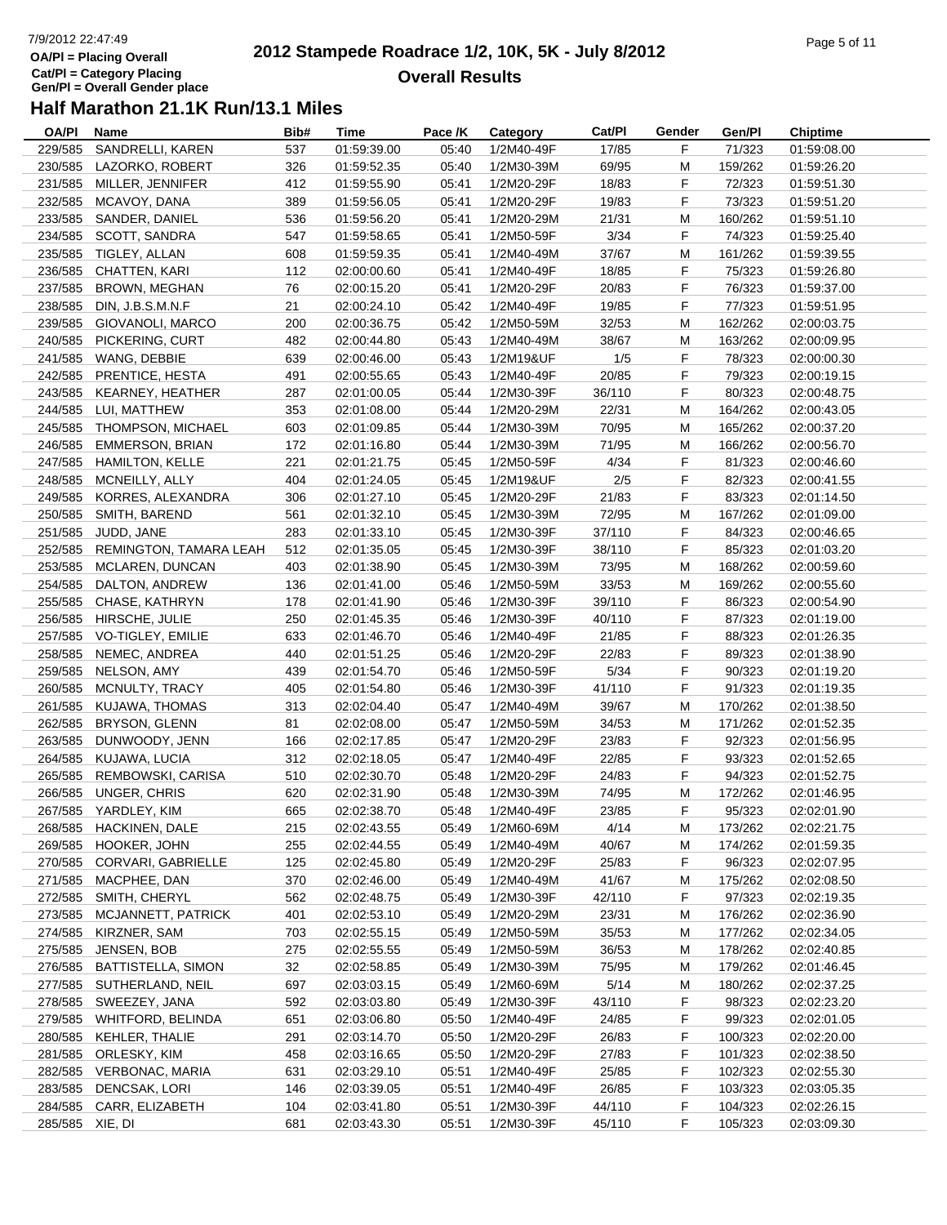# 7/9/2012 22:47:49**OA/Pl = Placing OverallCat/Pl = Category Placing Gen/Pl = Overall Gender place**

#### **2012 Stampede Roadrace 1/2, 10K, 5K - July 8/2012**  $P$ age 5 of 11 **Overall Results**

| OA/PI           | <b>Name</b>               | Bib# | <b>Time</b> | Pace /K | Category   | Cat/Pl | Gender | Gen/Pl  | <b>Chiptime</b> |
|-----------------|---------------------------|------|-------------|---------|------------|--------|--------|---------|-----------------|
| 229/585         | SANDRELLI, KAREN          | 537  | 01:59:39.00 | 05:40   | 1/2M40-49F | 17/85  | F      | 71/323  | 01:59:08.00     |
| 230/585         | LAZORKO, ROBERT           | 326  | 01:59:52.35 | 05:40   | 1/2M30-39M | 69/95  | M      | 159/262 | 01:59:26.20     |
| 231/585         | MILLER, JENNIFER          | 412  | 01:59:55.90 | 05:41   | 1/2M20-29F | 18/83  | F      | 72/323  | 01:59:51.30     |
| 232/585         | MCAVOY, DANA              | 389  | 01:59:56.05 | 05:41   | 1/2M20-29F | 19/83  | F      | 73/323  | 01:59:51.20     |
| 233/585         | SANDER, DANIEL            | 536  | 01:59:56.20 | 05:41   | 1/2M20-29M | 21/31  | M      | 160/262 | 01:59:51.10     |
| 234/585         | <b>SCOTT, SANDRA</b>      | 547  | 01:59:58.65 | 05:41   | 1/2M50-59F | 3/34   | F      | 74/323  | 01:59:25.40     |
| 235/585         | TIGLEY, ALLAN             | 608  | 01:59:59.35 | 05:41   | 1/2M40-49M | 37/67  | M      | 161/262 | 01:59:39.55     |
| 236/585         | CHATTEN, KARI             | 112  | 02:00:00.60 | 05:41   | 1/2M40-49F | 18/85  | F      | 75/323  | 01:59:26.80     |
| 237/585         | <b>BROWN, MEGHAN</b>      | 76   | 02:00:15.20 | 05:41   | 1/2M20-29F | 20/83  | F      | 76/323  | 01:59:37.00     |
| 238/585         | DIN, J.B.S.M.N.F          | 21   | 02:00:24.10 | 05:42   | 1/2M40-49F | 19/85  | F      | 77/323  | 01:59:51.95     |
| 239/585         | GIOVANOLI, MARCO          | 200  | 02:00:36.75 | 05:42   | 1/2M50-59M | 32/53  | M      | 162/262 | 02:00:03.75     |
| 240/585         | PICKERING, CURT           | 482  | 02:00:44.80 | 05:43   | 1/2M40-49M | 38/67  | M      | 163/262 | 02:00:09.95     |
| 241/585         | WANG, DEBBIE              | 639  | 02:00:46.00 | 05:43   | 1/2M19&UF  | 1/5    | F      | 78/323  | 02:00:00.30     |
| 242/585         | PRENTICE, HESTA           | 491  | 02:00:55.65 | 05:43   | 1/2M40-49F | 20/85  | F      | 79/323  | 02:00:19.15     |
| 243/585         | KEARNEY, HEATHER          | 287  | 02:01:00.05 | 05:44   | 1/2M30-39F | 36/110 | F      | 80/323  | 02:00:48.75     |
| 244/585         | LUI, MATTHEW              | 353  | 02:01:08.00 | 05:44   | 1/2M20-29M | 22/31  | M      | 164/262 | 02:00:43.05     |
| 245/585         | THOMPSON, MICHAEL         | 603  | 02:01:09.85 | 05:44   | 1/2M30-39M | 70/95  | M      | 165/262 | 02:00:37.20     |
|                 |                           |      | 02:01:16.80 |         |            |        |        |         |                 |
| 246/585         | <b>EMMERSON, BRIAN</b>    | 172  |             | 05:44   | 1/2M30-39M | 71/95  | M<br>F | 166/262 | 02:00:56.70     |
| 247/585         | HAMILTON, KELLE           | 221  | 02:01:21.75 | 05:45   | 1/2M50-59F | 4/34   |        | 81/323  | 02:00:46.60     |
| 248/585         | MCNEILLY, ALLY            | 404  | 02:01:24.05 | 05:45   | 1/2M19&UF  | 2/5    | F      | 82/323  | 02:00:41.55     |
| 249/585         | KORRES, ALEXANDRA         | 306  | 02:01:27.10 | 05:45   | 1/2M20-29F | 21/83  | F      | 83/323  | 02:01:14.50     |
| 250/585         | SMITH, BAREND             | 561  | 02:01:32.10 | 05:45   | 1/2M30-39M | 72/95  | M      | 167/262 | 02:01:09.00     |
| 251/585         | JUDD, JANE                | 283  | 02:01:33.10 | 05:45   | 1/2M30-39F | 37/110 | F      | 84/323  | 02:00:46.65     |
| 252/585         | REMINGTON, TAMARA LEAH    | 512  | 02:01:35.05 | 05:45   | 1/2M30-39F | 38/110 | F      | 85/323  | 02:01:03.20     |
| 253/585         | MCLAREN, DUNCAN           | 403  | 02:01:38.90 | 05:45   | 1/2M30-39M | 73/95  | M      | 168/262 | 02:00:59.60     |
| 254/585         | DALTON, ANDREW            | 136  | 02:01:41.00 | 05:46   | 1/2M50-59M | 33/53  | M      | 169/262 | 02:00:55.60     |
| 255/585         | CHASE, KATHRYN            | 178  | 02:01:41.90 | 05:46   | 1/2M30-39F | 39/110 | F      | 86/323  | 02:00:54.90     |
| 256/585         | HIRSCHE, JULIE            | 250  | 02:01:45.35 | 05:46   | 1/2M30-39F | 40/110 | F      | 87/323  | 02:01:19.00     |
| 257/585         | VO-TIGLEY, EMILIE         | 633  | 02:01:46.70 | 05:46   | 1/2M40-49F | 21/85  | F      | 88/323  | 02:01:26.35     |
| 258/585         | NEMEC, ANDREA             | 440  | 02:01:51.25 | 05:46   | 1/2M20-29F | 22/83  | F      | 89/323  | 02:01:38.90     |
| 259/585         | NELSON, AMY               | 439  | 02:01:54.70 | 05:46   | 1/2M50-59F | 5/34   | F      | 90/323  | 02:01:19.20     |
| 260/585         | MCNULTY, TRACY            | 405  | 02:01:54.80 | 05:46   | 1/2M30-39F | 41/110 | F      | 91/323  | 02:01:19.35     |
| 261/585         | KUJAWA, THOMAS            | 313  | 02:02:04.40 | 05:47   | 1/2M40-49M | 39/67  | M      | 170/262 | 02:01:38.50     |
| 262/585         | BRYSON, GLENN             | 81   | 02:02:08.00 | 05:47   | 1/2M50-59M | 34/53  | M      | 171/262 | 02:01:52.35     |
| 263/585         | DUNWOODY, JENN            | 166  | 02:02:17.85 | 05:47   | 1/2M20-29F | 23/83  | F      | 92/323  | 02:01:56.95     |
| 264/585         | KUJAWA, LUCIA             | 312  | 02:02:18.05 | 05:47   | 1/2M40-49F | 22/85  | F      | 93/323  | 02:01:52.65     |
| 265/585         | REMBOWSKI, CARISA         | 510  | 02:02:30.70 | 05:48   | 1/2M20-29F | 24/83  | F      | 94/323  | 02:01:52.75     |
| 266/585         | <b>UNGER, CHRIS</b>       | 620  | 02:02:31.90 | 05:48   | 1/2M30-39M | 74/95  | M      | 172/262 | 02:01:46.95     |
|                 | 267/585 YARDLEY, KIM      | 665  | 02:02:38.70 | 05:48   | 1/2M40-49F | 23/85  | F.     | 95/323  | 02:02:01.90     |
|                 | 268/585 HACKINEN, DALE    | 215  | 02:02:43.55 | 05:49   | 1/2M60-69M | 4/14   | M      | 173/262 | 02:02:21.75     |
| 269/585         | HOOKER, JOHN              | 255  | 02:02:44.55 | 05:49   | 1/2M40-49M | 40/67  | M      | 174/262 | 02:01:59.35     |
| 270/585         | CORVARI, GABRIELLE        | 125  | 02:02:45.80 | 05:49   | 1/2M20-29F | 25/83  | F      | 96/323  | 02:02:07.95     |
| 271/585         | MACPHEE, DAN              | 370  | 02:02:46.00 | 05:49   | 1/2M40-49M | 41/67  | M      | 175/262 | 02:02:08.50     |
| 272/585         | SMITH, CHERYL             | 562  | 02:02:48.75 | 05:49   | 1/2M30-39F | 42/110 | F      | 97/323  | 02:02:19.35     |
| 273/585         | MCJANNETT, PATRICK        | 401  | 02:02:53.10 | 05:49   | 1/2M20-29M | 23/31  | M      | 176/262 | 02:02:36.90     |
| 274/585         | KIRZNER, SAM              | 703  | 02:02:55.15 | 05:49   | 1/2M50-59M | 35/53  | M      | 177/262 | 02:02:34.05     |
| 275/585         | JENSEN, BOB               | 275  | 02:02:55.55 | 05:49   | 1/2M50-59M | 36/53  | M      | 178/262 | 02:02:40.85     |
| 276/585         | <b>BATTISTELLA, SIMON</b> | 32   | 02:02:58.85 | 05:49   | 1/2M30-39M | 75/95  | M      | 179/262 | 02:01:46.45     |
| 277/585         | SUTHERLAND, NEIL          | 697  | 02:03:03.15 | 05:49   | 1/2M60-69M | $5/14$ | M      | 180/262 | 02:02:37.25     |
| 278/585         | SWEEZEY, JANA             | 592  | 02:03:03.80 | 05:49   | 1/2M30-39F | 43/110 | F      | 98/323  | 02:02:23.20     |
|                 |                           |      |             |         |            |        |        |         |                 |
| 279/585         | <b>WHITFORD, BELINDA</b>  | 651  | 02:03:06.80 | 05:50   | 1/2M40-49F | 24/85  | F      | 99/323  | 02:02:01.05     |
| 280/585         | KEHLER, THALIE            | 291  | 02:03:14.70 | 05:50   | 1/2M20-29F | 26/83  | F.     | 100/323 | 02:02:20.00     |
| 281/585         | ORLESKY, KIM              | 458  | 02:03:16.65 | 05:50   | 1/2M20-29F | 27/83  | F      | 101/323 | 02:02:38.50     |
| 282/585         | <b>VERBONAC, MARIA</b>    | 631  | 02:03:29.10 | 05:51   | 1/2M40-49F | 25/85  | F.     | 102/323 | 02:02:55.30     |
| 283/585         | DENCSAK, LORI             | 146  | 02:03:39.05 | 05:51   | 1/2M40-49F | 26/85  | F      | 103/323 | 02:03:05.35     |
| 284/585         | CARR, ELIZABETH           | 104  | 02:03:41.80 | 05:51   | 1/2M30-39F | 44/110 | F.     | 104/323 | 02:02:26.15     |
| 285/585 XIE, DI |                           | 681  | 02:03:43.30 | 05:51   | 1/2M30-39F | 45/110 | F      | 105/323 | 02:03:09.30     |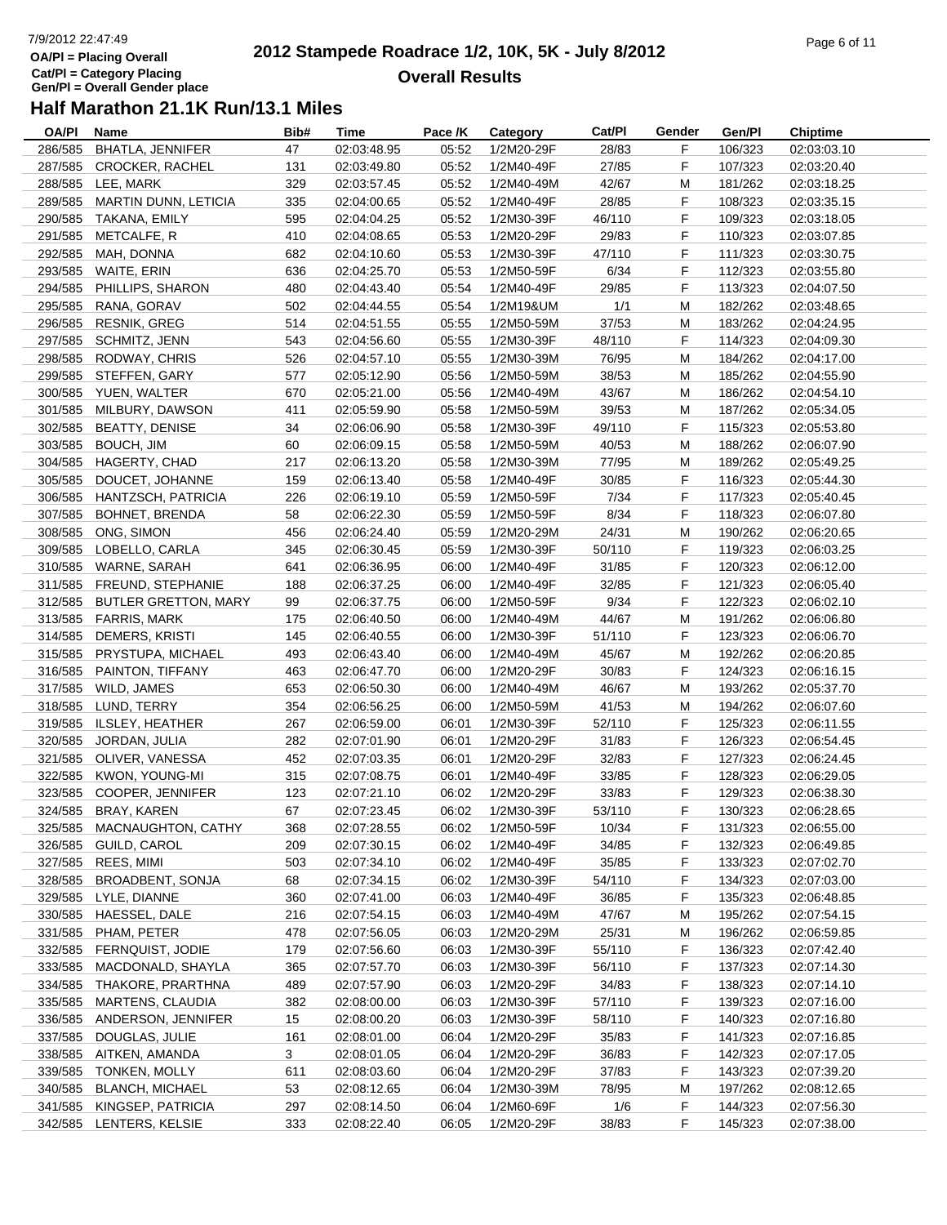## 7/9/2012 22:47:49**OA/Pl = Placing OverallCat/Pl = Category Placing Gen/Pl = Overall Gender place**

#### **2012 Stampede Roadrace 1/2, 10K, 5K - July 8/2012**  $P_1$  and  $P_2$  of  $P_3$  of  $P_4$  of  $P_5$  of  $P_6$  of  $P_7$  of  $P_8$  of  $P_9$  of  $P_9$  of  $P_9$  of  $P_9$  of  $P_9$  of  $P_9$  of  $P_9$  of  $P_9$  of  $P_9$  of  $P_9$  of  $P_9$  of  $P_9$  of  $P_9$  of  $P_9$  of  $P_9$  of  $P_9$  of  $P_9$ **Overall Results**

| OA/PI   | <b>Name</b>                 | Bib# | Time        | Pace /K | Category   | Cat/PI | Gender | Gen/Pl  | <b>Chiptime</b> |
|---------|-----------------------------|------|-------------|---------|------------|--------|--------|---------|-----------------|
| 286/585 | BHATLA, JENNIFER            | 47   | 02:03:48.95 | 05:52   | 1/2M20-29F | 28/83  | F      | 106/323 | 02:03:03.10     |
| 287/585 | <b>CROCKER, RACHEL</b>      | 131  | 02:03:49.80 | 05:52   | 1/2M40-49F | 27/85  | F      | 107/323 | 02:03:20.40     |
| 288/585 | LEE, MARK                   | 329  | 02:03:57.45 | 05:52   | 1/2M40-49M | 42/67  | M      | 181/262 | 02:03:18.25     |
| 289/585 | <b>MARTIN DUNN, LETICIA</b> | 335  | 02:04:00.65 | 05:52   | 1/2M40-49F | 28/85  | F      | 108/323 | 02:03:35.15     |
| 290/585 | TAKANA, EMILY               | 595  | 02:04:04.25 | 05:52   | 1/2M30-39F | 46/110 | F      | 109/323 | 02:03:18.05     |
| 291/585 | METCALFE, R                 | 410  | 02:04:08.65 | 05:53   | 1/2M20-29F | 29/83  | F      | 110/323 | 02:03:07.85     |
| 292/585 | MAH, DONNA                  | 682  | 02:04:10.60 | 05:53   | 1/2M30-39F | 47/110 | F      | 111/323 | 02:03:30.75     |
| 293/585 | WAITE, ERIN                 | 636  | 02:04:25.70 | 05:53   | 1/2M50-59F | 6/34   | F      | 112/323 | 02:03:55.80     |
| 294/585 | PHILLIPS, SHARON            | 480  | 02:04:43.40 | 05:54   | 1/2M40-49F | 29/85  | F      | 113/323 | 02:04:07.50     |
| 295/585 | RANA, GORAV                 | 502  | 02:04:44.55 | 05:54   | 1/2M19&UM  | 1/1    | M      | 182/262 | 02:03:48.65     |
| 296/585 | <b>RESNIK, GREG</b>         | 514  | 02:04:51.55 | 05:55   | 1/2M50-59M | 37/53  | M      | 183/262 | 02:04:24.95     |
| 297/585 | SCHMITZ, JENN               | 543  | 02:04:56.60 | 05:55   | 1/2M30-39F | 48/110 | F      | 114/323 | 02:04:09.30     |
| 298/585 | RODWAY, CHRIS               | 526  | 02:04:57.10 | 05:55   | 1/2M30-39M | 76/95  | м      | 184/262 | 02:04:17.00     |
| 299/585 | STEFFEN, GARY               | 577  | 02:05:12.90 | 05:56   | 1/2M50-59M | 38/53  | м      | 185/262 | 02:04:55.90     |
|         |                             |      |             |         |            |        |        |         |                 |
|         | 300/585 YUEN, WALTER        | 670  | 02:05:21.00 | 05:56   | 1/2M40-49M | 43/67  | M      | 186/262 | 02:04:54.10     |
| 301/585 | MILBURY, DAWSON             | 411  | 02:05:59.90 | 05:58   | 1/2M50-59M | 39/53  | M      | 187/262 | 02:05:34.05     |
| 302/585 | <b>BEATTY, DENISE</b>       | 34   | 02:06:06.90 | 05:58   | 1/2M30-39F | 49/110 | F      | 115/323 | 02:05:53.80     |
| 303/585 | <b>BOUCH, JIM</b>           | 60   | 02:06:09.15 | 05:58   | 1/2M50-59M | 40/53  | M      | 188/262 | 02:06:07.90     |
| 304/585 | HAGERTY, CHAD               | 217  | 02:06:13.20 | 05:58   | 1/2M30-39M | 77/95  | M      | 189/262 | 02:05:49.25     |
| 305/585 | DOUCET, JOHANNE             | 159  | 02:06:13.40 | 05:58   | 1/2M40-49F | 30/85  | F      | 116/323 | 02:05:44.30     |
| 306/585 | HANTZSCH, PATRICIA          | 226  | 02:06:19.10 | 05:59   | 1/2M50-59F | 7/34   | F      | 117/323 | 02:05:40.45     |
| 307/585 | <b>BOHNET, BRENDA</b>       | 58   | 02:06:22.30 | 05:59   | 1/2M50-59F | 8/34   | F      | 118/323 | 02:06:07.80     |
| 308/585 | ONG, SIMON                  | 456  | 02:06:24.40 | 05:59   | 1/2M20-29M | 24/31  | M      | 190/262 | 02:06:20.65     |
| 309/585 | LOBELLO, CARLA              | 345  | 02:06:30.45 | 05:59   | 1/2M30-39F | 50/110 | F      | 119/323 | 02:06:03.25     |
| 310/585 | WARNE, SARAH                | 641  | 02:06:36.95 | 06:00   | 1/2M40-49F | 31/85  | F      | 120/323 | 02:06:12.00     |
| 311/585 | FREUND, STEPHANIE           | 188  | 02:06:37.25 | 06:00   | 1/2M40-49F | 32/85  | F      | 121/323 | 02:06:05.40     |
| 312/585 | <b>BUTLER GRETTON, MARY</b> | 99   | 02:06:37.75 | 06:00   | 1/2M50-59F | 9/34   | F      | 122/323 | 02:06:02.10     |
| 313/585 | FARRIS, MARK                | 175  | 02:06:40.50 | 06:00   | 1/2M40-49M | 44/67  | M      | 191/262 | 02:06:06.80     |
| 314/585 | DEMERS, KRISTI              | 145  | 02:06:40.55 | 06:00   | 1/2M30-39F | 51/110 | F      | 123/323 | 02:06:06.70     |
| 315/585 | PRYSTUPA, MICHAEL           | 493  | 02:06:43.40 | 06:00   | 1/2M40-49M | 45/67  | M      | 192/262 | 02:06:20.85     |
| 316/585 | PAINTON, TIFFANY            | 463  | 02:06:47.70 | 06:00   | 1/2M20-29F | 30/83  | F      | 124/323 | 02:06:16.15     |
| 317/585 | WILD, JAMES                 | 653  | 02:06:50.30 | 06:00   | 1/2M40-49M | 46/67  | M      | 193/262 | 02:05:37.70     |
| 318/585 | LUND, TERRY                 | 354  | 02:06:56.25 | 06:00   | 1/2M50-59M | 41/53  | M      | 194/262 | 02:06:07.60     |
| 319/585 | ILSLEY, HEATHER             | 267  | 02:06:59.00 | 06:01   | 1/2M30-39F | 52/110 | F      | 125/323 | 02:06:11.55     |
| 320/585 | JORDAN, JULIA               | 282  | 02:07:01.90 | 06:01   | 1/2M20-29F | 31/83  | F      | 126/323 | 02:06:54.45     |
| 321/585 | OLIVER, VANESSA             | 452  | 02:07:03.35 | 06:01   | 1/2M20-29F | 32/83  | F      | 127/323 | 02:06:24.45     |
| 322/585 | KWON, YOUNG-MI              | 315  | 02:07:08.75 | 06:01   | 1/2M40-49F | 33/85  | F      | 128/323 | 02:06:29.05     |
| 323/585 | COOPER, JENNIFER            | 123  | 02:07:21.10 | 06:02   | 1/2M20-29F | 33/83  | F      | 129/323 | 02:06:38.30     |
| 324/585 | BRAY, KAREN                 | 67   | 02:07:23.45 | 06:02   | 1/2M30-39F | 53/110 | F      | 130/323 | 02:06:28.65     |
|         | 325/585 MACNAUGHTON, CATHY  | 368  | 02:07:28.55 | 06:02   | 1/2M50-59F | 10/34  | F      | 131/323 | 02:06:55.00     |
| 326/585 | GUILD, CAROL                | 209  | 02:07:30.15 | 06:02   | 1/2M40-49F | 34/85  | F      | 132/323 | 02:06:49.85     |
| 327/585 | REES, MIMI                  | 503  | 02:07:34.10 | 06:02   | 1/2M40-49F | 35/85  | F.     | 133/323 | 02:07:02.70     |
| 328/585 | BROADBENT, SONJA            | 68   | 02:07:34.15 | 06:02   | 1/2M30-39F | 54/110 | F      | 134/323 | 02:07:03.00     |
| 329/585 | LYLE, DIANNE                | 360  | 02:07:41.00 | 06:03   | 1/2M40-49F | 36/85  | F      | 135/323 | 02:06:48.85     |
| 330/585 | HAESSEL, DALE               | 216  | 02:07:54.15 | 06:03   | 1/2M40-49M | 47/67  | M      | 195/262 | 02:07:54.15     |
| 331/585 | PHAM, PETER                 | 478  | 02:07:56.05 | 06:03   | 1/2M20-29M | 25/31  | M      | 196/262 | 02:06:59.85     |
| 332/585 | FERNQUIST, JODIE            | 179  | 02:07:56.60 | 06:03   | 1/2M30-39F | 55/110 | F      | 136/323 | 02:07:42.40     |
| 333/585 | MACDONALD, SHAYLA           | 365  | 02:07:57.70 | 06:03   | 1/2M30-39F | 56/110 | F.     | 137/323 | 02:07:14.30     |
| 334/585 | THAKORE, PRARTHNA           | 489  | 02:07:57.90 | 06:03   | 1/2M20-29F | 34/83  | F      | 138/323 | 02:07:14.10     |
| 335/585 | <b>MARTENS, CLAUDIA</b>     | 382  | 02:08:00.00 | 06:03   | 1/2M30-39F | 57/110 | F.     | 139/323 | 02:07:16.00     |
| 336/585 | ANDERSON, JENNIFER          | 15   | 02:08:00.20 | 06:03   | 1/2M30-39F | 58/110 | F      | 140/323 | 02:07:16.80     |
| 337/585 | DOUGLAS, JULIE              | 161  | 02:08:01.00 | 06:04   | 1/2M20-29F | 35/83  | F.     | 141/323 | 02:07:16.85     |
| 338/585 | AITKEN, AMANDA              | 3    | 02:08:01.05 | 06:04   | 1/2M20-29F | 36/83  | F.     | 142/323 | 02:07:17.05     |
| 339/585 | TONKEN, MOLLY               | 611  | 02:08:03.60 | 06:04   | 1/2M20-29F | 37/83  | F.     | 143/323 | 02:07:39.20     |
| 340/585 | <b>BLANCH, MICHAEL</b>      | 53   | 02:08:12.65 | 06:04   | 1/2M30-39M | 78/95  | M      | 197/262 | 02:08:12.65     |
| 341/585 | KINGSEP, PATRICIA           | 297  | 02:08:14.50 | 06:04   | 1/2M60-69F | 1/6    | F.     | 144/323 | 02:07:56.30     |
|         | 342/585 LENTERS, KELSIE     | 333  | 02:08:22.40 | 06:05   | 1/2M20-29F | 38/83  | F      | 145/323 | 02:07:38.00     |
|         |                             |      |             |         |            |        |        |         |                 |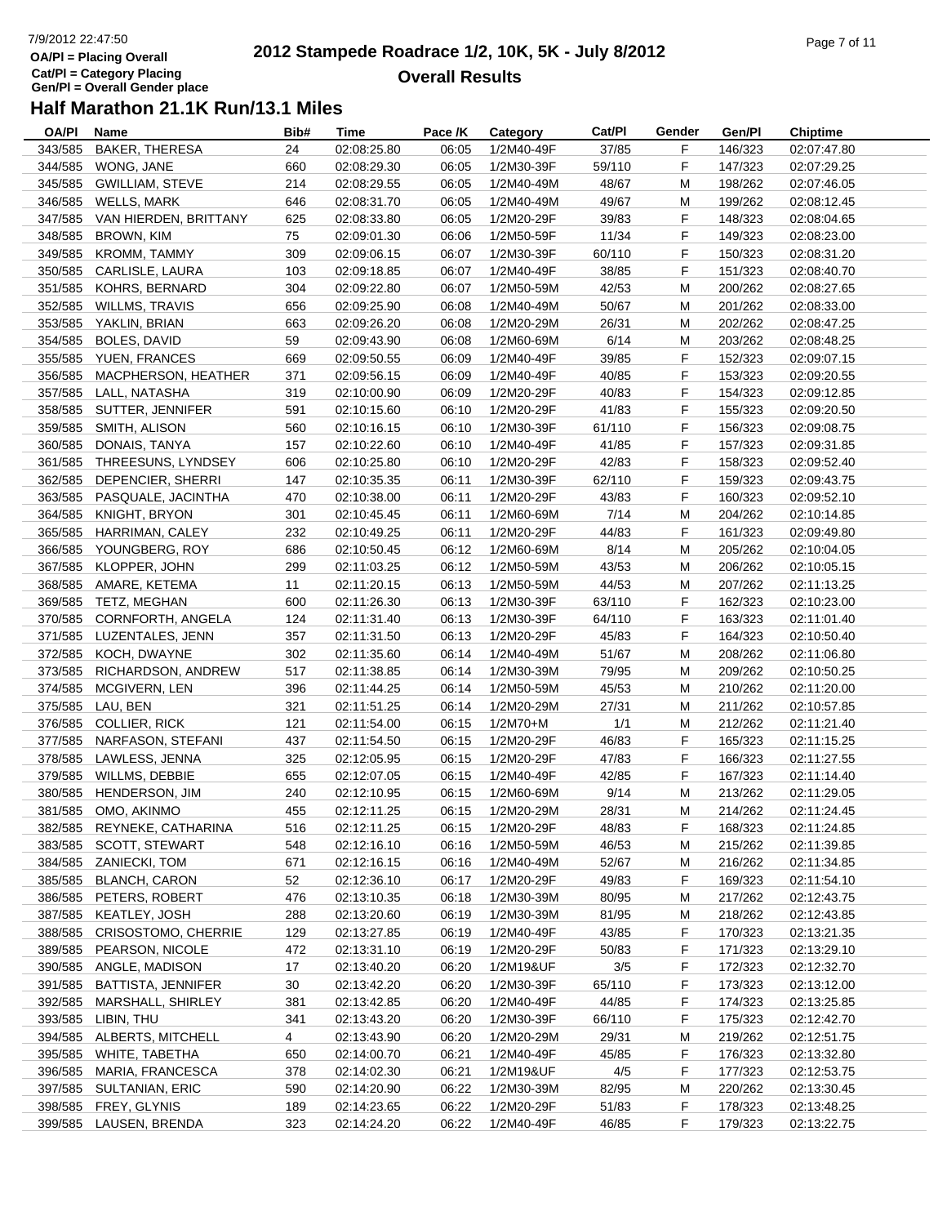## 7/9/2012 22:47:50**OA/Pl = Placing Overall Cat/Pl = Category Placing Gen/Pl = Overall Gender place**

#### **2012 Stampede Roadrace 1/2, 10K, 5K - July 8/2012**  $P$ age 7 of 11 **Overall Results**

| OA/PI   | Name                                           | Bib#           | Time        | Pace /K | Category   | Cat/PI | Gender | Gen/Pl  | <b>Chiptime</b> |
|---------|------------------------------------------------|----------------|-------------|---------|------------|--------|--------|---------|-----------------|
| 343/585 | <b>BAKER, THERESA</b>                          | 24             | 02:08:25.80 | 06:05   | 1/2M40-49F | 37/85  | F      | 146/323 | 02:07:47.80     |
| 344/585 | WONG, JANE                                     | 660            | 02:08:29.30 | 06:05   | 1/2M30-39F | 59/110 | F      | 147/323 | 02:07:29.25     |
| 345/585 | <b>GWILLIAM, STEVE</b>                         | 214            | 02:08:29.55 | 06:05   | 1/2M40-49M | 48/67  | M      | 198/262 | 02:07:46.05     |
| 346/585 | <b>WELLS, MARK</b>                             | 646            | 02:08:31.70 | 06:05   | 1/2M40-49M | 49/67  | M      | 199/262 | 02:08:12.45     |
| 347/585 | VAN HIERDEN, BRITTANY                          | 625            | 02:08:33.80 | 06:05   | 1/2M20-29F | 39/83  | F      | 148/323 | 02:08:04.65     |
| 348/585 | <b>BROWN, KIM</b>                              | 75             | 02:09:01.30 | 06:06   | 1/2M50-59F | 11/34  | F      | 149/323 | 02:08:23.00     |
| 349/585 | <b>KROMM, TAMMY</b>                            | 309            | 02:09:06.15 | 06:07   | 1/2M30-39F | 60/110 | F      | 150/323 | 02:08:31.20     |
| 350/585 | CARLISLE, LAURA                                | 103            | 02:09:18.85 | 06:07   | 1/2M40-49F | 38/85  | F      | 151/323 | 02:08:40.70     |
| 351/585 | KOHRS, BERNARD                                 | 304            | 02:09:22.80 | 06:07   | 1/2M50-59M | 42/53  | M      | 200/262 | 02:08:27.65     |
| 352/585 | <b>WILLMS, TRAVIS</b>                          | 656            | 02:09:25.90 | 06:08   | 1/2M40-49M | 50/67  | M      | 201/262 | 02:08:33.00     |
| 353/585 | YAKLIN, BRIAN                                  | 663            | 02:09:26.20 | 06:08   | 1/2M20-29M | 26/31  | M      | 202/262 | 02:08:47.25     |
| 354/585 | BOLES, DAVID                                   | 59             | 02:09:43.90 | 06:08   | 1/2M60-69M | 6/14   | M      | 203/262 | 02:08:48.25     |
|         | 355/585 YUEN, FRANCES                          | 669            | 02:09:50.55 | 06:09   | 1/2M40-49F | 39/85  | F      | 152/323 | 02:09:07.15     |
| 356/585 | MACPHERSON, HEATHER                            | 371            | 02:09:56.15 | 06:09   | 1/2M40-49F | 40/85  | F      | 153/323 | 02:09:20.55     |
| 357/585 | LALL, NATASHA                                  | 319            | 02:10:00.90 | 06:09   | 1/2M20-29F | 40/83  | F      | 154/323 | 02:09:12.85     |
| 358/585 | SUTTER, JENNIFER                               | 591            | 02:10:15.60 | 06:10   | 1/2M20-29F | 41/83  | F      | 155/323 | 02:09:20.50     |
| 359/585 | SMITH, ALISON                                  | 560            | 02:10:16.15 | 06:10   | 1/2M30-39F | 61/110 | F      | 156/323 | 02:09:08.75     |
| 360/585 | DONAIS, TANYA                                  | 157            | 02:10:22.60 | 06:10   | 1/2M40-49F | 41/85  | F      | 157/323 | 02:09:31.85     |
| 361/585 | THREESUNS, LYNDSEY                             | 606            | 02:10:25.80 | 06:10   | 1/2M20-29F | 42/83  | F      | 158/323 | 02:09:52.40     |
| 362/585 | DEPENCIER, SHERRI                              | 147            | 02:10:35.35 | 06:11   | 1/2M30-39F | 62/110 | F      | 159/323 | 02:09:43.75     |
| 363/585 | PASQUALE, JACINTHA                             | 470            | 02:10:38.00 | 06:11   | 1/2M20-29F | 43/83  | F      | 160/323 | 02:09:52.10     |
| 364/585 | KNIGHT, BRYON                                  | 301            | 02:10:45.45 | 06:11   | 1/2M60-69M | 7/14   | M      | 204/262 | 02:10:14.85     |
| 365/585 | HARRIMAN, CALEY                                | 232            | 02:10:49.25 | 06:11   | 1/2M20-29F | 44/83  | F      | 161/323 | 02:09:49.80     |
| 366/585 | YOUNGBERG, ROY                                 | 686            | 02:10:50.45 | 06:12   | 1/2M60-69M | 8/14   | M      | 205/262 | 02:10:04.05     |
| 367/585 | KLOPPER, JOHN                                  | 299            | 02:11:03.25 | 06:12   | 1/2M50-59M | 43/53  | M      | 206/262 | 02:10:05.15     |
| 368/585 | AMARE, KETEMA                                  | 11             | 02:11:20.15 | 06:13   | 1/2M50-59M | 44/53  | M      | 207/262 | 02:11:13.25     |
| 369/585 | TETZ, MEGHAN                                   | 600            | 02:11:26.30 | 06:13   | 1/2M30-39F | 63/110 | F      | 162/323 | 02:10:23.00     |
| 370/585 | CORNFORTH, ANGELA                              | 124            | 02:11:31.40 | 06:13   | 1/2M30-39F | 64/110 | F      | 163/323 | 02:11:01.40     |
| 371/585 | LUZENTALES, JENN                               | 357            | 02:11:31.50 | 06:13   | 1/2M20-29F | 45/83  | F      | 164/323 | 02:10:50.40     |
| 372/585 | KOCH, DWAYNE                                   | 302            | 02:11:35.60 | 06:14   | 1/2M40-49M | 51/67  | M      | 208/262 | 02:11:06.80     |
| 373/585 | RICHARDSON, ANDREW                             | 517            | 02:11:38.85 | 06:14   | 1/2M30-39M | 79/95  | м      | 209/262 | 02:10:50.25     |
| 374/585 | MCGIVERN, LEN                                  | 396            | 02:11:44.25 | 06:14   | 1/2M50-59M | 45/53  | м      | 210/262 | 02:11:20.00     |
| 375/585 | LAU, BEN                                       | 321            | 02:11:51.25 | 06:14   | 1/2M20-29M | 27/31  | M      | 211/262 | 02:10:57.85     |
| 376/585 | COLLIER, RICK                                  | 121            | 02:11:54.00 | 06:15   | $1/2M70+M$ | 1/1    | M      | 212/262 | 02:11:21.40     |
| 377/585 | NARFASON, STEFANI                              | 437            | 02:11:54.50 | 06:15   | 1/2M20-29F | 46/83  | F      | 165/323 | 02:11:15.25     |
| 378/585 | LAWLESS, JENNA                                 | 325            | 02:12:05.95 | 06:15   | 1/2M20-29F | 47/83  | F      | 166/323 | 02:11:27.55     |
| 379/585 | WILLMS, DEBBIE                                 | 655            | 02:12:07.05 | 06:15   | 1/2M40-49F | 42/85  | F.     | 167/323 | 02:11:14.40     |
| 380/585 | HENDERSON, JIM                                 | 240            | 02:12:10.95 | 06:15   | 1/2M60-69M | 9/14   | M      | 213/262 | 02:11:29.05     |
|         | 381/585 OMO, AKINMO                            | 455            | 02:12:11.25 | 06:15   | 1/2M20-29M | 28/31  | М      | 214/262 | 02:11:24.45     |
|         | 382/585 REYNEKE, CATHARINA                     | 516            | 02:12:11.25 | 06:15   | 1/2M20-29F | 48/83  | F      | 168/323 | 02:11:24.85     |
| 383/585 | <b>SCOTT, STEWART</b>                          | 548            | 02:12:16.10 | 06:16   | 1/2M50-59M | 46/53  | M      | 215/262 | 02:11:39.85     |
| 384/585 | ZANIECKI, TOM                                  | 671            | 02:12:16.15 | 06:16   | 1/2M40-49M | 52/67  | M      | 216/262 | 02:11:34.85     |
| 385/585 | <b>BLANCH, CARON</b>                           | 52             | 02:12:36.10 | 06:17   | 1/2M20-29F | 49/83  | F      | 169/323 | 02:11:54.10     |
| 386/585 | PETERS, ROBERT                                 | 476            | 02:13:10.35 | 06:18   | 1/2M30-39M | 80/95  | M      | 217/262 | 02:12:43.75     |
| 387/585 | KEATLEY, JOSH                                  | 288            | 02:13:20.60 | 06:19   | 1/2M30-39M | 81/95  | M      | 218/262 | 02:12:43.85     |
| 388/585 | CRISOSTOMO, CHERRIE                            | 129            | 02:13:27.85 | 06:19   | 1/2M40-49F | 43/85  | F.     | 170/323 | 02:13:21.35     |
| 389/585 | PEARSON, NICOLE                                | 472            | 02:13:31.10 | 06:19   | 1/2M20-29F | 50/83  | F.     | 171/323 | 02:13:29.10     |
| 390/585 | ANGLE, MADISON                                 |                | 02:13:40.20 | 06:20   | 1/2M19&UF  |        |        | 172/323 | 02:12:32.70     |
|         |                                                | 17             |             |         |            | 3/5    | F.     |         |                 |
| 391/585 | <b>BATTISTA, JENNIFER</b><br>MARSHALL, SHIRLEY | 30             | 02:13:42.20 | 06:20   | 1/2M30-39F | 65/110 | F      | 173/323 | 02:13:12.00     |
| 392/585 |                                                | 381            | 02:13:42.85 | 06:20   | 1/2M40-49F | 44/85  | F.     | 174/323 | 02:13:25.85     |
| 393/585 | LIBIN, THU                                     | 341            | 02:13:43.20 | 06:20   | 1/2M30-39F | 66/110 | F      | 175/323 | 02:12:42.70     |
| 394/585 | ALBERTS, MITCHELL                              | $\overline{4}$ | 02:13:43.90 | 06:20   | 1/2M20-29M | 29/31  | M      | 219/262 | 02:12:51.75     |
| 395/585 | WHITE, TABETHA                                 | 650            | 02:14:00.70 | 06:21   | 1/2M40-49F | 45/85  | F      | 176/323 | 02:13:32.80     |
| 396/585 | MARIA, FRANCESCA                               | 378            | 02:14:02.30 | 06:21   | 1/2M19&UF  | 4/5    | F.     | 177/323 | 02:12:53.75     |
| 397/585 | SULTANIAN, ERIC                                | 590            | 02:14:20.90 | 06:22   | 1/2M30-39M | 82/95  | M      | 220/262 | 02:13:30.45     |
| 398/585 | FREY, GLYNIS                                   | 189            | 02:14:23.65 | 06:22   | 1/2M20-29F | 51/83  | F.     | 178/323 | 02:13:48.25     |
| 399/585 | LAUSEN, BRENDA                                 | 323            | 02:14:24.20 | 06:22   | 1/2M40-49F | 46/85  | F      | 179/323 | 02:13:22.75     |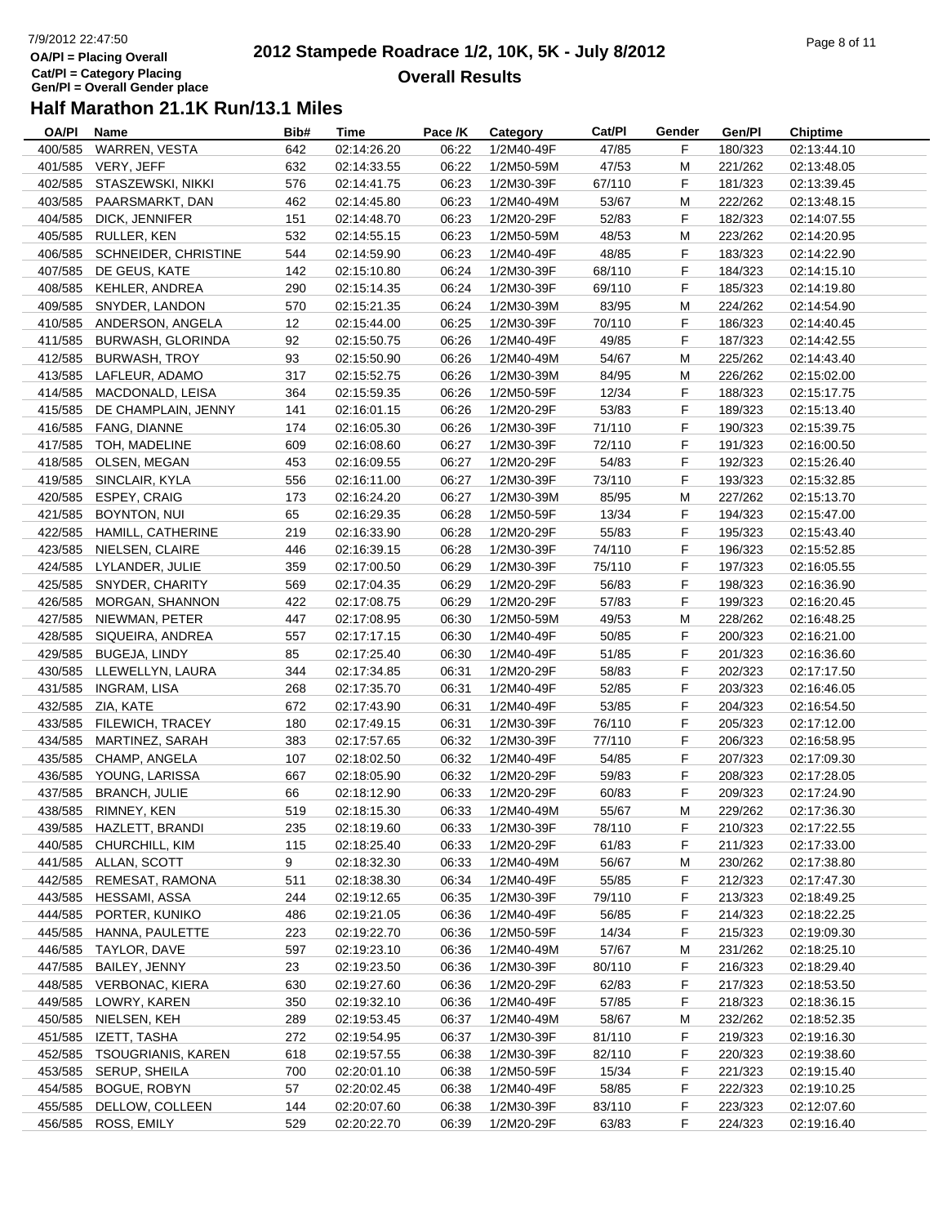# 7/9/2012 22:47:50**OA/Pl = Placing OverallCat/Pl = Category Placing Gen/Pl = Overall Gender place**

#### **2012 Stampede Roadrace 1/2, 10K, 5K - July 8/2012**  $P_1$  and  $P_2$  of  $P_3$  of  $P_4$  of  $P_5$  of  $P_5$  of  $P_6$  of  $P_7$  of  $P_8$  of  $P_7$  of  $P_8$  of  $P_9$  of  $P_9$  of  $P_9$  of  $P_9$  of  $P_9$  of  $P_9$  of  $P_9$  of  $P_9$  of  $P_9$  of  $P_9$  of  $P_9$  of  $P_9$  of  $P_9$  of  $P_9$ **Overall Results**

| OA/PI   | Name                      | Bib#              | Time        | Pace /K | Category   | Cat/PI | Gender | Gen/Pl  | <b>Chiptime</b> |
|---------|---------------------------|-------------------|-------------|---------|------------|--------|--------|---------|-----------------|
| 400/585 | WARREN, VESTA             | 642               | 02:14:26.20 | 06:22   | 1/2M40-49F | 47/85  | F      | 180/323 | 02:13:44.10     |
| 401/585 | VERY, JEFF                | 632               | 02:14:33.55 | 06:22   | 1/2M50-59M | 47/53  | M      | 221/262 | 02:13:48.05     |
| 402/585 | STASZEWSKI, NIKKI         | 576               | 02:14:41.75 | 06:23   | 1/2M30-39F | 67/110 | F      | 181/323 | 02:13:39.45     |
| 403/585 | PAARSMARKT, DAN           | 462               | 02:14:45.80 | 06:23   | 1/2M40-49M | 53/67  | M      | 222/262 | 02:13:48.15     |
| 404/585 | DICK, JENNIFER            | 151               | 02:14:48.70 | 06:23   | 1/2M20-29F | 52/83  | F      | 182/323 | 02:14:07.55     |
| 405/585 | RULLER, KEN               | 532               | 02:14:55.15 | 06:23   | 1/2M50-59M | 48/53  | M      | 223/262 | 02:14:20.95     |
| 406/585 | SCHNEIDER, CHRISTINE      | 544               | 02:14:59.90 | 06:23   | 1/2M40-49F | 48/85  | F      | 183/323 | 02:14:22.90     |
| 407/585 | DE GEUS, KATE             | 142               | 02:15:10.80 | 06:24   | 1/2M30-39F | 68/110 | F      | 184/323 | 02:14:15.10     |
| 408/585 | KEHLER, ANDREA            | 290               | 02:15:14.35 | 06:24   | 1/2M30-39F | 69/110 | F      | 185/323 | 02:14:19.80     |
|         |                           |                   |             |         |            |        |        |         |                 |
| 409/585 | SNYDER, LANDON            | 570               | 02:15:21.35 | 06:24   | 1/2M30-39M | 83/95  | M      | 224/262 | 02:14:54.90     |
| 410/585 | ANDERSON, ANGELA          | $12 \overline{ }$ | 02:15:44.00 | 06:25   | 1/2M30-39F | 70/110 | F      | 186/323 | 02:14:40.45     |
| 411/585 | BURWASH, GLORINDA         | 92                | 02:15:50.75 | 06:26   | 1/2M40-49F | 49/85  | F      | 187/323 | 02:14:42.55     |
| 412/585 | BURWASH, TROY             | 93                | 02:15:50.90 | 06:26   | 1/2M40-49M | 54/67  | M      | 225/262 | 02:14:43.40     |
| 413/585 | LAFLEUR, ADAMO            | 317               | 02:15:52.75 | 06:26   | 1/2M30-39M | 84/95  | M      | 226/262 | 02:15:02.00     |
| 414/585 | MACDONALD, LEISA          | 364               | 02:15:59.35 | 06:26   | 1/2M50-59F | 12/34  | F      | 188/323 | 02:15:17.75     |
| 415/585 | DE CHAMPLAIN, JENNY       | 141               | 02:16:01.15 | 06:26   | 1/2M20-29F | 53/83  | F      | 189/323 | 02:15:13.40     |
| 416/585 | FANG, DIANNE              | 174               | 02:16:05.30 | 06:26   | 1/2M30-39F | 71/110 | F      | 190/323 | 02:15:39.75     |
| 417/585 | TOH, MADELINE             | 609               | 02:16:08.60 | 06:27   | 1/2M30-39F | 72/110 | F.     | 191/323 | 02:16:00.50     |
| 418/585 | OLSEN, MEGAN              | 453               | 02:16:09.55 | 06:27   | 1/2M20-29F | 54/83  | F      | 192/323 | 02:15:26.40     |
| 419/585 | SINCLAIR, KYLA            | 556               | 02:16:11.00 | 06:27   | 1/2M30-39F | 73/110 | F      | 193/323 | 02:15:32.85     |
| 420/585 | ESPEY, CRAIG              | 173               | 02:16:24.20 | 06:27   | 1/2M30-39M | 85/95  | M      | 227/262 | 02:15:13.70     |
| 421/585 | BOYNTON, NUI              | 65                | 02:16:29.35 | 06:28   | 1/2M50-59F | 13/34  | F      | 194/323 | 02:15:47.00     |
| 422/585 | HAMILL, CATHERINE         | 219               | 02:16:33.90 | 06:28   | 1/2M20-29F | 55/83  | F      | 195/323 | 02:15:43.40     |
| 423/585 | NIELSEN, CLAIRE           | 446               | 02:16:39.15 | 06:28   | 1/2M30-39F | 74/110 | F      | 196/323 | 02:15:52.85     |
| 424/585 | LYLANDER, JULIE           | 359               | 02:17:00.50 | 06:29   | 1/2M30-39F | 75/110 | F      | 197/323 | 02:16:05.55     |
| 425/585 | SNYDER, CHARITY           | 569               | 02:17:04.35 | 06:29   | 1/2M20-29F | 56/83  | F      | 198/323 | 02:16:36.90     |
|         |                           |                   |             |         |            |        | F      |         |                 |
| 426/585 | MORGAN, SHANNON           | 422               | 02:17:08.75 | 06:29   | 1/2M20-29F | 57/83  |        | 199/323 | 02:16:20.45     |
| 427/585 | NIEWMAN, PETER            | 447               | 02:17:08.95 | 06:30   | 1/2M50-59M | 49/53  | M      | 228/262 | 02:16:48.25     |
| 428/585 | SIQUEIRA, ANDREA          | 557               | 02:17:17.15 | 06:30   | 1/2M40-49F | 50/85  | F      | 200/323 | 02:16:21.00     |
| 429/585 | <b>BUGEJA, LINDY</b>      | 85                | 02:17:25.40 | 06:30   | 1/2M40-49F | 51/85  | F      | 201/323 | 02:16:36.60     |
| 430/585 | LLEWELLYN, LAURA          | 344               | 02:17:34.85 | 06:31   | 1/2M20-29F | 58/83  | F      | 202/323 | 02:17:17.50     |
| 431/585 | <b>INGRAM, LISA</b>       | 268               | 02:17:35.70 | 06:31   | 1/2M40-49F | 52/85  | F      | 203/323 | 02:16:46.05     |
| 432/585 | ZIA, KATE                 | 672               | 02:17:43.90 | 06:31   | 1/2M40-49F | 53/85  | F      | 204/323 | 02:16:54.50     |
| 433/585 | FILEWICH, TRACEY          | 180               | 02:17:49.15 | 06:31   | 1/2M30-39F | 76/110 | F      | 205/323 | 02:17:12.00     |
| 434/585 | MARTINEZ, SARAH           | 383               | 02:17:57.65 | 06:32   | 1/2M30-39F | 77/110 | F      | 206/323 | 02:16:58.95     |
| 435/585 | CHAMP, ANGELA             | 107               | 02:18:02.50 | 06:32   | 1/2M40-49F | 54/85  | F      | 207/323 | 02:17:09.30     |
| 436/585 | YOUNG, LARISSA            | 667               | 02:18:05.90 | 06:32   | 1/2M20-29F | 59/83  | F      | 208/323 | 02:17:28.05     |
| 437/585 | <b>BRANCH, JULIE</b>      | 66                | 02:18:12.90 | 06:33   | 1/2M20-29F | 60/83  | F      | 209/323 | 02:17:24.90     |
| 438/585 | RIMNEY, KEN               | 519               | 02:18:15.30 | 06:33   | 1/2M40-49M | 55/67  | M      | 229/262 | 02:17:36.30     |
|         | 439/585 HAZLETT, BRANDI   | 235               | 02:18:19.60 | 06:33   | 1/2M30-39F | 78/110 | F      | 210/323 | 02:17:22.55     |
| 440/585 | CHURCHILL, KIM            | 115               | 02:18:25.40 | 06:33   | 1/2M20-29F | 61/83  | F      | 211/323 | 02:17:33.00     |
|         | 441/585 ALLAN, SCOTT      | 9                 | 02:18:32.30 | 06:33   | 1/2M40-49M | 56/67  | M      | 230/262 | 02:17:38.80     |
| 442/585 | REMESAT, RAMONA           | 511               | 02:18:38.30 | 06:34   | 1/2M40-49F | 55/85  | F      | 212/323 | 02:17:47.30     |
| 443/585 | HESSAMI, ASSA             | 244               | 02:19:12.65 | 06:35   | 1/2M30-39F | 79/110 | F      | 213/323 | 02:18:49.25     |
| 444/585 | PORTER, KUNIKO            | 486               | 02:19:21.05 | 06:36   | 1/2M40-49F | 56/85  | F      | 214/323 | 02:18:22.25     |
| 445/585 | HANNA, PAULETTE           | 223               | 02:19:22.70 | 06:36   | 1/2M50-59F | 14/34  | F.     | 215/323 | 02:19:09.30     |
|         |                           |                   |             |         |            |        |        |         |                 |
| 446/585 | TAYLOR, DAVE              | 597               | 02:19:23.10 | 06:36   | 1/2M40-49M | 57/67  | M      | 231/262 | 02:18:25.10     |
| 447/585 | BAILEY, JENNY             | 23                | 02:19:23.50 | 06:36   | 1/2M30-39F | 80/110 | F      | 216/323 | 02:18:29.40     |
| 448/585 | VERBONAC, KIERA           | 630               | 02:19:27.60 | 06:36   | 1/2M20-29F | 62/83  | F      | 217/323 | 02:18:53.50     |
| 449/585 | LOWRY, KAREN              | 350               | 02:19:32.10 | 06:36   | 1/2M40-49F | 57/85  | F      | 218/323 | 02:18:36.15     |
| 450/585 | NIELSEN, KEH              | 289               | 02:19:53.45 | 06:37   | 1/2M40-49M | 58/67  | M      | 232/262 | 02:18:52.35     |
| 451/585 | IZETT, TASHA              | 272               | 02:19:54.95 | 06:37   | 1/2M30-39F | 81/110 | F.     | 219/323 | 02:19:16.30     |
| 452/585 | <b>TSOUGRIANIS, KAREN</b> | 618               | 02:19:57.55 | 06:38   | 1/2M30-39F | 82/110 | F      | 220/323 | 02:19:38.60     |
| 453/585 | SERUP, SHEILA             | 700               | 02:20:01.10 | 06:38   | 1/2M50-59F | 15/34  | F.     | 221/323 | 02:19:15.40     |
| 454/585 | <b>BOGUE, ROBYN</b>       | 57                | 02:20:02.45 | 06:38   | 1/2M40-49F | 58/85  | F      | 222/323 | 02:19:10.25     |
| 455/585 | DELLOW, COLLEEN           | 144               | 02:20:07.60 | 06:38   | 1/2M30-39F | 83/110 | F      | 223/323 | 02:12:07.60     |
| 456/585 | ROSS, EMILY               | 529               | 02:20:22.70 | 06:39   | 1/2M20-29F | 63/83  | F      | 224/323 | 02:19:16.40     |
|         |                           |                   |             |         |            |        |        |         |                 |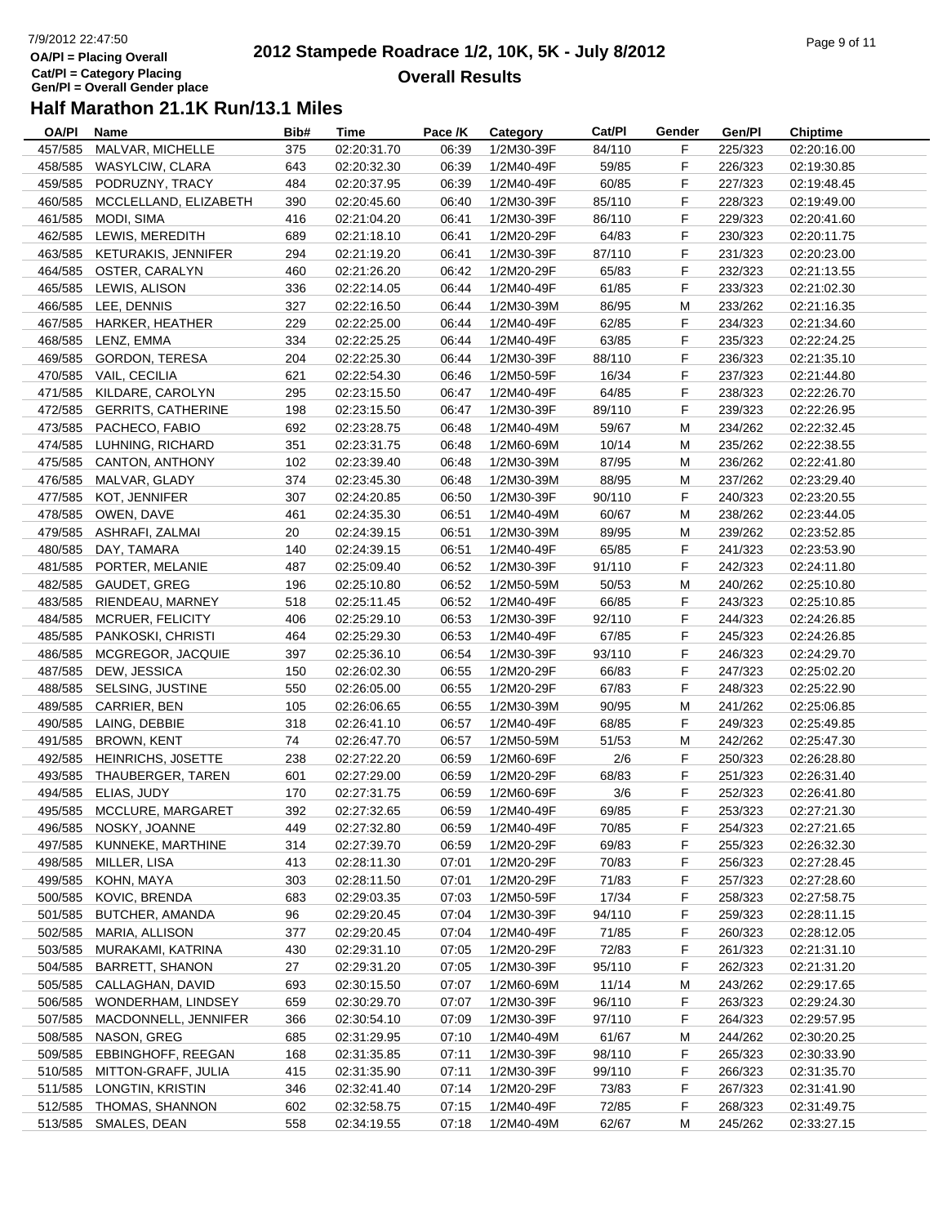## 7/9/2012 22:47:50**OA/Pl = Placing Overall Cat/Pl = Category Placing Gen/Pl = Overall Gender place**

#### **2012 Stampede Roadrace 1/2, 10K, 5K - July 8/2012**  $P_1$  of  $P_2$  of  $P_3$  of  $P_4$  of  $P_5$  of  $P_6$  of  $P_7$  of  $P_8$  of  $P_9$  of  $P_9$  of  $P_9$  of  $P_9$  of  $P_9$  of  $P_9$  of  $P_9$  of  $P_9$  of  $P_9$  of  $P_9$  of  $P_9$  of  $P_9$  of  $P_9$  of  $P_9$  of  $P_9$  of  $P_9$  of  $P_9$ **Overall Results**

| OA/PI   | Name                      | Bib# | Time        | Pace /K | Category   | Cat/PI | Gender | Gen/Pl  | Chiptime    |
|---------|---------------------------|------|-------------|---------|------------|--------|--------|---------|-------------|
| 457/585 | MALVAR, MICHELLE          | 375  | 02:20:31.70 | 06:39   | 1/2M30-39F | 84/110 | F      | 225/323 | 02:20:16.00 |
| 458/585 | WASYLCIW, CLARA           | 643  | 02:20:32.30 | 06:39   | 1/2M40-49F | 59/85  | F      | 226/323 | 02:19:30.85 |
| 459/585 | PODRUZNY, TRACY           | 484  | 02:20:37.95 | 06:39   | 1/2M40-49F | 60/85  | F      | 227/323 | 02:19:48.45 |
| 460/585 | MCCLELLAND, ELIZABETH     | 390  | 02:20:45.60 | 06:40   | 1/2M30-39F | 85/110 | F      | 228/323 | 02:19:49.00 |
| 461/585 | MODI, SIMA                | 416  | 02:21:04.20 | 06:41   | 1/2M30-39F | 86/110 | F      | 229/323 | 02:20:41.60 |
| 462/585 | LEWIS, MEREDITH           | 689  | 02:21:18.10 | 06:41   | 1/2M20-29F | 64/83  | F      | 230/323 | 02:20:11.75 |
| 463/585 | KETURAKIS, JENNIFER       | 294  | 02:21:19.20 | 06:41   | 1/2M30-39F | 87/110 | F      | 231/323 | 02:20:23.00 |
| 464/585 | OSTER, CARALYN            | 460  | 02:21:26.20 | 06:42   | 1/2M20-29F | 65/83  | F      | 232/323 | 02:21:13.55 |
| 465/585 | LEWIS, ALISON             | 336  | 02:22:14.05 | 06:44   | 1/2M40-49F | 61/85  | F      | 233/323 | 02:21:02.30 |
| 466/585 | LEE, DENNIS               | 327  | 02:22:16.50 | 06:44   | 1/2M30-39M | 86/95  | M      | 233/262 | 02:21:16.35 |
| 467/585 | <b>HARKER, HEATHER</b>    | 229  | 02:22:25.00 | 06:44   | 1/2M40-49F | 62/85  | F      | 234/323 | 02:21:34.60 |
| 468/585 | LENZ, EMMA                | 334  | 02:22:25.25 | 06:44   | 1/2M40-49F | 63/85  | F      | 235/323 | 02:22:24.25 |
|         | 469/585 GORDON, TERESA    | 204  | 02:22:25.30 | 06:44   | 1/2M30-39F | 88/110 | F      | 236/323 | 02:21:35.10 |
|         | 470/585 VAIL, CECILIA     | 621  | 02:22:54.30 | 06:46   | 1/2M50-59F | 16/34  | F      | 237/323 | 02:21:44.80 |
| 471/585 | KILDARE, CAROLYN          | 295  | 02:23:15.50 | 06:47   | 1/2M40-49F | 64/85  | F      | 238/323 | 02:22:26.70 |
| 472/585 | <b>GERRITS, CATHERINE</b> | 198  | 02:23:15.50 | 06:47   | 1/2M30-39F | 89/110 | F      | 239/323 | 02:22:26.95 |
| 473/585 | PACHECO, FABIO            | 692  | 02:23:28.75 | 06:48   | 1/2M40-49M | 59/67  | M      | 234/262 | 02:22:32.45 |
| 474/585 | LUHNING, RICHARD          | 351  | 02:23:31.75 | 06:48   | 1/2M60-69M | 10/14  | M      | 235/262 | 02:22:38.55 |
| 475/585 | CANTON, ANTHONY           | 102  | 02:23:39.40 | 06:48   | 1/2M30-39M | 87/95  | M      | 236/262 | 02:22:41.80 |
| 476/585 | MALVAR, GLADY             | 374  | 02:23:45.30 | 06:48   | 1/2M30-39M | 88/95  | M      | 237/262 | 02:23:29.40 |
| 477/585 | KOT, JENNIFER             | 307  | 02:24:20.85 | 06:50   | 1/2M30-39F | 90/110 | F      | 240/323 | 02:23:20.55 |
|         | 478/585 OWEN, DAVE        | 461  | 02:24:35.30 | 06:51   | 1/2M40-49M | 60/67  | M      | 238/262 | 02:23:44.05 |
| 479/585 | ASHRAFI, ZALMAI           | 20   | 02:24:39.15 | 06:51   | 1/2M30-39M | 89/95  | M      | 239/262 | 02:23:52.85 |
| 480/585 | DAY, TAMARA               | 140  | 02:24:39.15 | 06:51   | 1/2M40-49F | 65/85  | F      | 241/323 | 02:23:53.90 |
| 481/585 | PORTER, MELANIE           | 487  | 02:25:09.40 | 06:52   | 1/2M30-39F | 91/110 | F      | 242/323 | 02:24:11.80 |
| 482/585 | GAUDET, GREG              | 196  | 02:25:10.80 | 06:52   | 1/2M50-59M | 50/53  | M      | 240/262 | 02:25:10.80 |
| 483/585 | RIENDEAU, MARNEY          | 518  | 02:25:11.45 | 06:52   | 1/2M40-49F | 66/85  | F      | 243/323 | 02:25:10.85 |
|         |                           |      |             |         |            |        | F      |         |             |
| 484/585 | MCRUER, FELICITY          | 406  | 02:25:29.10 | 06:53   | 1/2M30-39F | 92/110 |        | 244/323 | 02:24:26.85 |
| 485/585 | PANKOSKI, CHRISTI         | 464  | 02:25:29.30 | 06:53   | 1/2M40-49F | 67/85  | F      | 245/323 | 02:24:26.85 |
| 486/585 | MCGREGOR, JACQUIE         | 397  | 02:25:36.10 | 06:54   | 1/2M30-39F | 93/110 | F      | 246/323 | 02:24:29.70 |
| 487/585 | DEW, JESSICA              | 150  | 02:26:02.30 | 06:55   | 1/2M20-29F | 66/83  | F      | 247/323 | 02:25:02.20 |
| 488/585 | SELSING, JUSTINE          | 550  | 02:26:05.00 | 06:55   | 1/2M20-29F | 67/83  | F      | 248/323 | 02:25:22.90 |
| 489/585 | CARRIER, BEN              | 105  | 02:26:06.65 | 06:55   | 1/2M30-39M | 90/95  | M      | 241/262 | 02:25:06.85 |
| 490/585 | LAING, DEBBIE             | 318  | 02:26:41.10 | 06:57   | 1/2M40-49F | 68/85  | F      | 249/323 | 02:25:49.85 |
| 491/585 | <b>BROWN, KENT</b>        | 74   | 02:26:47.70 | 06:57   | 1/2M50-59M | 51/53  | M      | 242/262 | 02:25:47.30 |
| 492/585 | <b>HEINRICHS, JOSETTE</b> | 238  | 02:27:22.20 | 06:59   | 1/2M60-69F | 2/6    | F      | 250/323 | 02:26:28.80 |
| 493/585 | THAUBERGER, TAREN         | 601  | 02:27:29.00 | 06:59   | 1/2M20-29F | 68/83  | F      | 251/323 | 02:26:31.40 |
|         | 494/585 ELIAS, JUDY       | 170  | 02:27:31.75 | 06:59   | 1/2M60-69F | 3/6    | F      | 252/323 | 02:26:41.80 |
|         | 495/585 MCCLURE, MARGARET | 392  | 02:27:32.65 | 06:59   | 1/2M40-49F | 69/85  | F      | 253/323 | 02:27:21.30 |
| 496/585 | NOSKY, JOANNE             | 449  | 02:27:32.80 | 06:59   | 1/2M40-49F | 70/85  | F      | 254/323 | 02:27:21.65 |
| 497/585 | KUNNEKE, MARTHINE         | 314  | 02:27:39.70 | 06:59   | 1/2M20-29F | 69/83  | F      | 255/323 | 02:26:32.30 |
| 498/585 | MILLER, LISA              | 413  | 02:28:11.30 | 07:01   | 1/2M20-29F | 70/83  | F      | 256/323 | 02:27:28.45 |
| 499/585 | KOHN, MAYA                | 303  | 02:28:11.50 | 07:01   | 1/2M20-29F | 71/83  | F      | 257/323 | 02:27:28.60 |
| 500/585 | KOVIC, BRENDA             | 683  | 02:29:03.35 | 07:03   | 1/2M50-59F | 17/34  | F      | 258/323 | 02:27:58.75 |
| 501/585 | BUTCHER, AMANDA           | 96   | 02:29:20.45 | 07:04   | 1/2M30-39F | 94/110 | F      | 259/323 | 02:28:11.15 |
| 502/585 | MARIA, ALLISON            | 377  | 02:29:20.45 | 07:04   | 1/2M40-49F | 71/85  | F      | 260/323 | 02:28:12.05 |
| 503/585 | MURAKAMI, KATRINA         | 430  | 02:29:31.10 | 07:05   | 1/2M20-29F | 72/83  | F      | 261/323 | 02:21:31.10 |
| 504/585 | <b>BARRETT, SHANON</b>    | 27   | 02:29:31.20 | 07:05   | 1/2M30-39F | 95/110 | F      | 262/323 | 02:21:31.20 |
| 505/585 | CALLAGHAN, DAVID          | 693  | 02:30:15.50 | 07:07   | 1/2M60-69M | 11/14  | M      | 243/262 | 02:29:17.65 |
| 506/585 | WONDERHAM, LINDSEY        | 659  | 02:30:29.70 | 07:07   | 1/2M30-39F | 96/110 | F      | 263/323 | 02:29:24.30 |
| 507/585 | MACDONNELL, JENNIFER      | 366  | 02:30:54.10 | 07:09   | 1/2M30-39F | 97/110 | F      | 264/323 | 02:29:57.95 |
| 508/585 | NASON, GREG               | 685  | 02:31:29.95 | 07:10   | 1/2M40-49M | 61/67  | M      | 244/262 | 02:30:20.25 |
| 509/585 | <b>EBBINGHOFF, REEGAN</b> | 168  | 02:31:35.85 | 07:11   | 1/2M30-39F | 98/110 | F      | 265/323 | 02:30:33.90 |
| 510/585 | MITTON-GRAFF, JULIA       | 415  | 02:31:35.90 | 07:11   | 1/2M30-39F | 99/110 | F      | 266/323 | 02:31:35.70 |
| 511/585 | LONGTIN, KRISTIN          | 346  | 02:32:41.40 | 07:14   | 1/2M20-29F | 73/83  | F      | 267/323 | 02:31:41.90 |
| 512/585 | THOMAS, SHANNON           | 602  | 02:32:58.75 | 07:15   | 1/2M40-49F | 72/85  | F.     | 268/323 | 02:31:49.75 |
| 513/585 | SMALES, DEAN              | 558  | 02:34:19.55 | 07:18   | 1/2M40-49M | 62/67  | M      | 245/262 | 02:33:27.15 |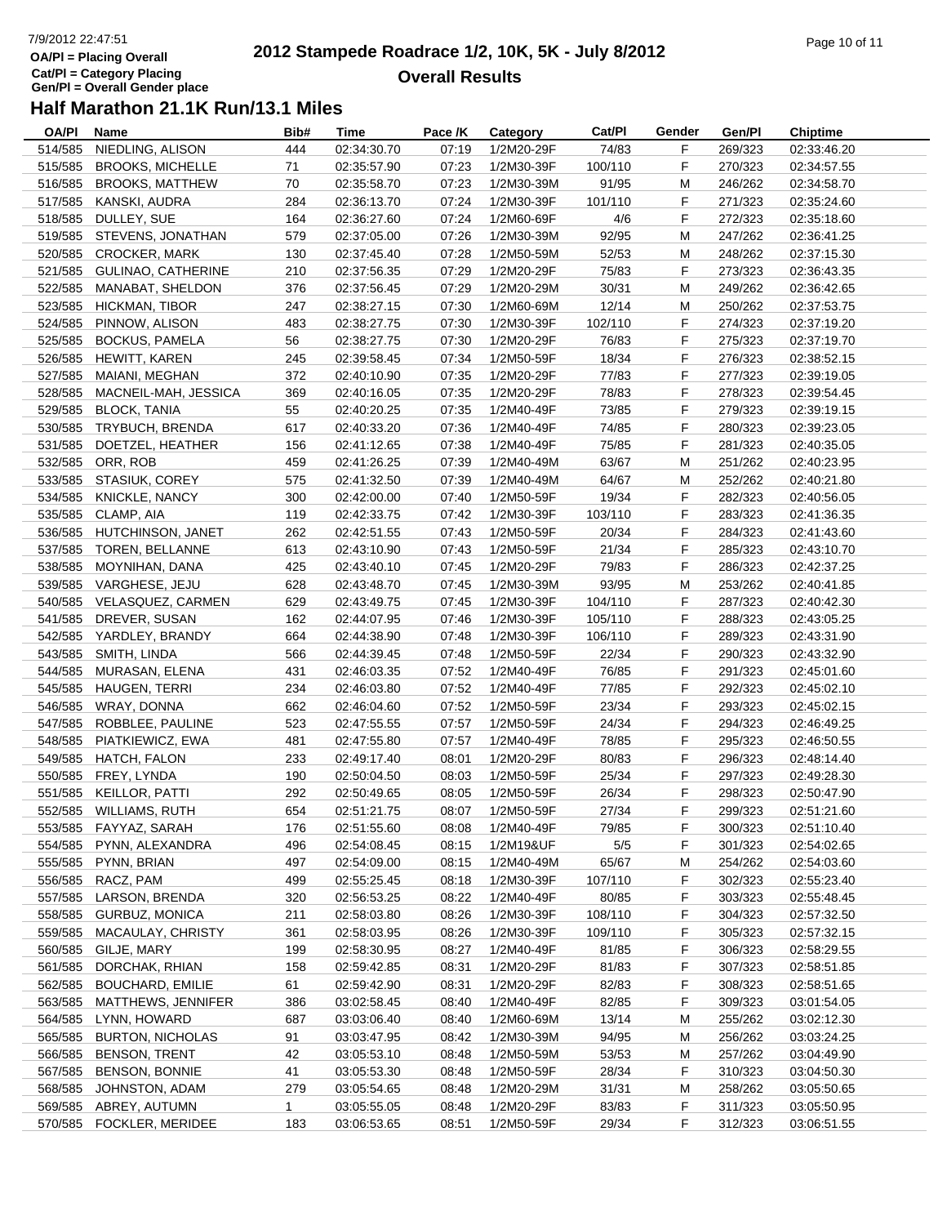## 7/9/2012 22:47:51**OA/Pl = Placing Overall Cat/Pl = Category Placing Gen/Pl = Overall Gender place**

#### **2012 Stampede Roadrace 1/2, 10K, 5K - July 8/2012** Page 10 of 11 **Overall Results**

| OA/PI   | Name                      | Bib# | Time        | Pace /K | Category                 | Cat/PI  | Gender | Gen/Pl  | <b>Chiptime</b> |
|---------|---------------------------|------|-------------|---------|--------------------------|---------|--------|---------|-----------------|
| 514/585 | NIEDLING, ALISON          | 444  | 02:34:30.70 | 07:19   | 1/2M20-29F               | 74/83   | F      | 269/323 | 02:33:46.20     |
| 515/585 | <b>BROOKS, MICHELLE</b>   | 71   | 02:35:57.90 | 07:23   | 1/2M30-39F               | 100/110 | F      | 270/323 | 02:34:57.55     |
| 516/585 | <b>BROOKS, MATTHEW</b>    | 70   | 02:35:58.70 | 07:23   | 1/2M30-39M               | 91/95   | M      | 246/262 | 02:34:58.70     |
| 517/585 | KANSKI, AUDRA             | 284  | 02:36:13.70 | 07:24   | 1/2M30-39F               | 101/110 | F      | 271/323 | 02:35:24.60     |
| 518/585 | DULLEY, SUE               | 164  | 02:36:27.60 | 07:24   | 1/2M60-69F               | 4/6     | F      | 272/323 | 02:35:18.60     |
| 519/585 | STEVENS, JONATHAN         | 579  | 02:37:05.00 | 07:26   | 1/2M30-39M               | 92/95   | M      | 247/262 | 02:36:41.25     |
| 520/585 | <b>CROCKER, MARK</b>      | 130  | 02:37:45.40 | 07:28   | 1/2M50-59M               | 52/53   | M      | 248/262 | 02:37:15.30     |
| 521/585 | GULINAO, CATHERINE        | 210  | 02:37:56.35 | 07:29   | 1/2M20-29F               | 75/83   | F      | 273/323 | 02:36:43.35     |
| 522/585 | MANABAT, SHELDON          | 376  | 02:37:56.45 | 07:29   | 1/2M20-29M               | 30/31   | M      | 249/262 | 02:36:42.65     |
| 523/585 | <b>HICKMAN, TIBOR</b>     | 247  | 02:38:27.15 | 07:30   | 1/2M60-69M               | 12/14   | M      | 250/262 | 02:37:53.75     |
| 524/585 | PINNOW, ALISON            | 483  | 02:38:27.75 | 07:30   | 1/2M30-39F               | 102/110 | F      | 274/323 | 02:37:19.20     |
| 525/585 | <b>BOCKUS, PAMELA</b>     | 56   | 02:38:27.75 | 07:30   | 1/2M20-29F               | 76/83   | F      | 275/323 | 02:37:19.70     |
| 526/585 | HEWITT, KAREN             | 245  | 02:39:58.45 | 07:34   | 1/2M50-59F               | 18/34   | F      | 276/323 | 02:38:52.15     |
| 527/585 | MAIANI, MEGHAN            | 372  | 02:40:10.90 | 07:35   | 1/2M20-29F               | 77/83   | F      | 277/323 | 02:39:19.05     |
| 528/585 | MACNEIL-MAH, JESSICA      | 369  | 02:40:16.05 | 07:35   | 1/2M20-29F               | 78/83   | F      | 278/323 | 02:39:54.45     |
| 529/585 | <b>BLOCK, TANIA</b>       | 55   | 02:40:20.25 | 07:35   | 1/2M40-49F               | 73/85   | F      | 279/323 | 02:39:19.15     |
| 530/585 | TRYBUCH, BRENDA           | 617  | 02:40:33.20 | 07:36   | 1/2M40-49F               | 74/85   | F      | 280/323 | 02:39:23.05     |
|         |                           |      |             |         |                          |         | F      |         |                 |
| 531/585 | DOETZEL, HEATHER          | 156  | 02:41:12.65 | 07:38   | 1/2M40-49F<br>1/2M40-49M | 75/85   |        | 281/323 | 02:40:35.05     |
| 532/585 | ORR, ROB                  | 459  | 02:41:26.25 | 07:39   |                          | 63/67   | M      | 251/262 | 02:40:23.95     |
| 533/585 | STASIUK, COREY            | 575  | 02:41:32.50 | 07:39   | 1/2M40-49M               | 64/67   | M      | 252/262 | 02:40:21.80     |
| 534/585 | KNICKLE, NANCY            | 300  | 02:42:00.00 | 07:40   | 1/2M50-59F               | 19/34   | F      | 282/323 | 02:40:56.05     |
| 535/585 | CLAMP, AIA                | 119  | 02:42:33.75 | 07:42   | 1/2M30-39F               | 103/110 | F      | 283/323 | 02:41:36.35     |
| 536/585 | HUTCHINSON, JANET         | 262  | 02:42:51.55 | 07:43   | 1/2M50-59F               | 20/34   | F      | 284/323 | 02:41:43.60     |
| 537/585 | <b>TOREN, BELLANNE</b>    | 613  | 02:43:10.90 | 07:43   | 1/2M50-59F               | 21/34   | F      | 285/323 | 02:43:10.70     |
| 538/585 | MOYNIHAN, DANA            | 425  | 02:43:40.10 | 07:45   | 1/2M20-29F               | 79/83   | F      | 286/323 | 02:42:37.25     |
|         | 539/585 VARGHESE, JEJU    | 628  | 02:43:48.70 | 07:45   | 1/2M30-39M               | 93/95   | M      | 253/262 | 02:40:41.85     |
|         | 540/585 VELASQUEZ, CARMEN | 629  | 02:43:49.75 | 07:45   | 1/2M30-39F               | 104/110 | F      | 287/323 | 02:40:42.30     |
| 541/585 | DREVER, SUSAN             | 162  | 02:44:07.95 | 07:46   | 1/2M30-39F               | 105/110 | F      | 288/323 | 02:43:05.25     |
| 542/585 | YARDLEY, BRANDY           | 664  | 02:44:38.90 | 07:48   | 1/2M30-39F               | 106/110 | F      | 289/323 | 02:43:31.90     |
| 543/585 | SMITH, LINDA              | 566  | 02:44:39.45 | 07:48   | 1/2M50-59F               | 22/34   | F      | 290/323 | 02:43:32.90     |
| 544/585 | MURASAN, ELENA            | 431  | 02:46:03.35 | 07:52   | 1/2M40-49F               | 76/85   | F      | 291/323 | 02:45:01.60     |
| 545/585 | <b>HAUGEN, TERRI</b>      | 234  | 02:46:03.80 | 07:52   | 1/2M40-49F               | 77/85   | F      | 292/323 | 02:45:02.10     |
| 546/585 | WRAY, DONNA               | 662  | 02:46:04.60 | 07:52   | 1/2M50-59F               | 23/34   | F      | 293/323 | 02:45:02.15     |
| 547/585 | ROBBLEE, PAULINE          | 523  | 02:47:55.55 | 07:57   | 1/2M50-59F               | 24/34   | F      | 294/323 | 02:46:49.25     |
| 548/585 | PIATKIEWICZ, EWA          | 481  | 02:47:55.80 | 07:57   | 1/2M40-49F               | 78/85   | F      | 295/323 | 02:46:50.55     |
| 549/585 | HATCH, FALON              | 233  | 02:49:17.40 | 08:01   | 1/2M20-29F               | 80/83   | F      | 296/323 | 02:48:14.40     |
| 550/585 | FREY, LYNDA               | 190  | 02:50:04.50 | 08:03   | 1/2M50-59F               | 25/34   | F      | 297/323 | 02:49:28.30     |
| 551/585 | KEILLOR, PATTI            | 292  | 02:50:49.65 | 08:05   | 1/2M50-59F               | 26/34   | F      | 298/323 | 02:50:47.90     |
| 552/585 | <b>WILLIAMS, RUTH</b>     | 654  | 02:51:21.75 | 08:07   | 1/2M50-59F               | 27/34   | F      | 299/323 | 02:51:21.60     |
|         | 553/585 FAYYAZ, SARAH     | 176  | 02:51:55.60 | 08:08   | 1/2M40-49F               | 79/85   | F      | 300/323 | 02:51:10.40     |
| 554/585 | PYNN, ALEXANDRA           | 496  | 02:54:08.45 | 08:15   | 1/2M19&UF                | $5/5$   | F      | 301/323 | 02:54:02.65     |
| 555/585 | PYNN, BRIAN               | 497  | 02:54:09.00 | 08:15   | 1/2M40-49M               | 65/67   | M      | 254/262 | 02:54:03.60     |
| 556/585 | RACZ, PAM                 | 499  | 02:55:25.45 | 08:18   | 1/2M30-39F               | 107/110 | F      | 302/323 | 02:55:23.40     |
| 557/585 | LARSON, BRENDA            | 320  | 02:56:53.25 | 08:22   | 1/2M40-49F               | 80/85   | F.     | 303/323 | 02:55:48.45     |
| 558/585 | <b>GURBUZ, MONICA</b>     | 211  | 02:58:03.80 | 08:26   | 1/2M30-39F               | 108/110 | F      | 304/323 | 02:57:32.50     |
| 559/585 | MACAULAY, CHRISTY         | 361  | 02:58:03.95 | 08:26   | 1/2M30-39F               | 109/110 | F.     | 305/323 | 02:57:32.15     |
| 560/585 | GILJE, MARY               | 199  | 02:58:30.95 | 08:27   | 1/2M40-49F               | 81/85   | F      | 306/323 | 02:58:29.55     |
| 561/585 | DORCHAK, RHIAN            | 158  | 02:59:42.85 | 08:31   | 1/2M20-29F               | 81/83   | F.     | 307/323 | 02:58:51.85     |
| 562/585 | <b>BOUCHARD, EMILIE</b>   | 61   | 02:59:42.90 | 08:31   | 1/2M20-29F               | 82/83   | F      | 308/323 | 02:58:51.65     |
| 563/585 | MATTHEWS, JENNIFER        | 386  | 03:02:58.45 | 08:40   | 1/2M40-49F               | 82/85   | F      | 309/323 | 03:01:54.05     |
|         |                           |      |             |         |                          |         |        |         |                 |
| 564/585 | LYNN, HOWARD              | 687  | 03:03:06.40 | 08:40   | 1/2M60-69M               | 13/14   | M      | 255/262 | 03:02:12.30     |
| 565/585 | <b>BURTON, NICHOLAS</b>   | 91   | 03:03:47.95 | 08:42   | 1/2M30-39M               | 94/95   | M      | 256/262 | 03:03:24.25     |
| 566/585 | <b>BENSON, TRENT</b>      | 42   | 03:05:53.10 | 08:48   | 1/2M50-59M               | 53/53   | M      | 257/262 | 03:04:49.90     |
| 567/585 | <b>BENSON, BONNIE</b>     | 41   | 03:05:53.30 | 08:48   | 1/2M50-59F               | 28/34   | F      | 310/323 | 03:04:50.30     |
| 568/585 | JOHNSTON, ADAM            | 279  | 03:05:54.65 | 08:48   | 1/2M20-29M               | 31/31   | M      | 258/262 | 03:05:50.65     |
| 569/585 | ABREY, AUTUMN             | 1.   | 03:05:55.05 | 08:48   | 1/2M20-29F               | 83/83   | F.     | 311/323 | 03:05:50.95     |
|         | 570/585 FOCKLER, MERIDEE  | 183  | 03:06:53.65 | 08:51   | 1/2M50-59F               | 29/34   | F      | 312/323 | 03:06:51.55     |